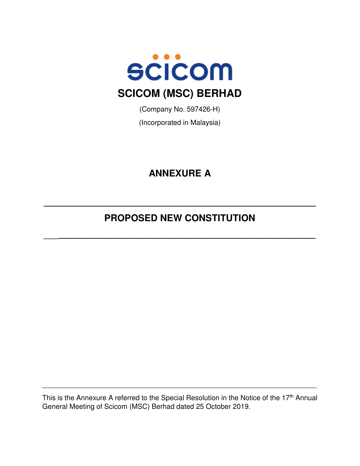

(Company No. 597426-H)

(Incorporated in Malaysia)

# **ANNEXURE A**

# **PROPOSED NEW CONSTITUTION**

\_\_\_**\_\_\_\_\_\_\_\_\_\_\_\_\_\_\_\_\_\_\_\_\_\_\_\_\_\_\_\_\_\_\_\_\_\_\_\_\_\_\_\_\_\_\_\_\_\_\_\_\_** 

**\_\_\_\_\_\_\_\_\_\_\_\_\_\_\_\_\_\_\_\_\_\_\_\_\_\_\_\_\_\_\_\_\_\_\_\_\_\_\_\_\_\_\_\_\_\_\_\_\_\_\_\_** 

This is the Annexure A referred to the Special Resolution in the Notice of the 17<sup>th</sup> Annual General Meeting of Scicom (MSC) Berhad dated 25 October 2019.

\_\_\_\_\_\_\_\_\_\_\_\_\_\_\_\_\_\_\_\_\_\_\_\_\_\_\_\_\_\_\_\_\_\_\_\_\_\_\_\_\_\_\_\_\_\_\_\_\_\_\_\_\_\_\_\_\_\_\_\_\_\_\_\_\_\_\_\_\_\_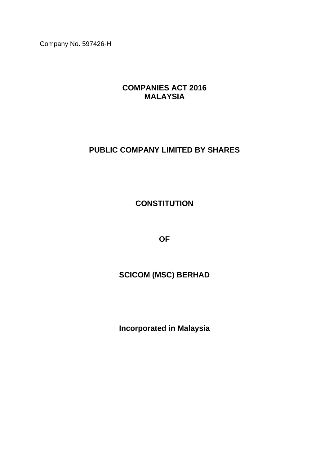Company No. 597426-H

# **COMPANIES ACT 2016 MALAYSIA**

# **PUBLIC COMPANY LIMITED BY SHARES**

# **CONSTITUTION**

**OF**

# **SCICOM (MSC) BERHAD**

**Incorporated in Malaysia**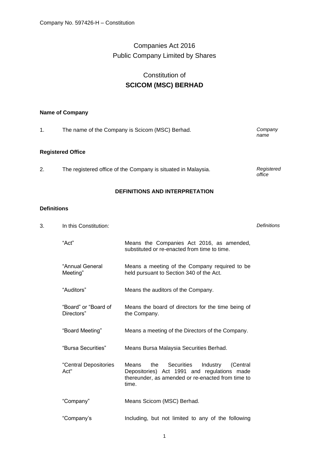# Companies Act 2016 Public Company Limited by Shares

# Constitution of **SCICOM (MSC) BERHAD**

# **Name of Company**

| 1. | The name of the Company is Scicom (MSC) Berhad. | Company<br>name |
|----|-------------------------------------------------|-----------------|
|    | <b>Registered Office</b>                        |                 |

2. The registered office of the Company is situated in Malaysia.

# **DEFINITIONS AND INTERPRETATION**

*office*

# **Definitions**

| 3. | In this Constitution:              |                                                                                                                                                                        | <b>Definitions</b> |
|----|------------------------------------|------------------------------------------------------------------------------------------------------------------------------------------------------------------------|--------------------|
|    | "Act"                              | Means the Companies Act 2016, as amended,<br>substituted or re-enacted from time to time.                                                                              |                    |
|    | "Annual General<br>Meeting"        | Means a meeting of the Company required to be<br>held pursuant to Section 340 of the Act.                                                                              |                    |
|    | "Auditors"                         | Means the auditors of the Company.                                                                                                                                     |                    |
|    | "Board" or "Board of<br>Directors" | Means the board of directors for the time being of<br>the Company.                                                                                                     |                    |
|    | "Board Meeting"                    | Means a meeting of the Directors of the Company.                                                                                                                       |                    |
|    | "Bursa Securities"                 | Means Bursa Malaysia Securities Berhad.                                                                                                                                |                    |
|    | "Central Depositories<br>Act"      | <b>Securities</b><br>Means<br>the<br>Industry<br>(Central<br>Depositories) Act 1991 and regulations made<br>thereunder, as amended or re-enacted from time to<br>time. |                    |
|    | "Company"                          | Means Scicom (MSC) Berhad.                                                                                                                                             |                    |
|    | "Company's                         | Including, but not limited to any of the following                                                                                                                     |                    |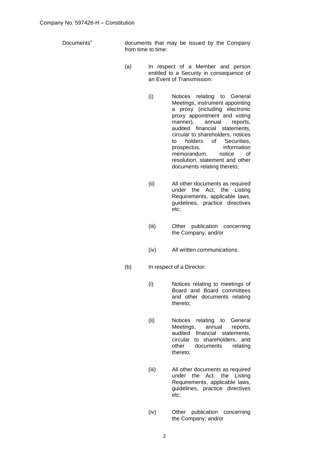Documents" documents that may be issued by the Company from time to time:

- (a) In respect of a Member and person entitled to a Security in consequence of an Event of Transmission:
	- (i) Notices relating to General Meetings, instrument appointing a proxy (including electronic proxy appointment and voting manner), annual reports, audited financial statements, circular to shareholders, notices to holders of Securities, prospectus, information memorandum, notice of resolution, statement and other documents relating thereto;
	- (ii) All other documents as required under the Act, the Listing Requirements, applicable laws, guidelines, practice directives etc;
	- (iii) Other publication concerning the Company; and/or
	- (iv) All written communications.
- (b) In respect of a Director:
	- (i) Notices relating to meetings of Board and Board committees and other documents relating thereto;
	- (ii) Notices relating to General Meetings, annual reports, audited financial statements, circular to shareholders, and other documents relating thereto;
	- (iii) All other documents as required under the Act, the Listing Requirements, applicable laws, guidelines, practice directives etc;
	- (iv) Other publication concerning the Company; and/or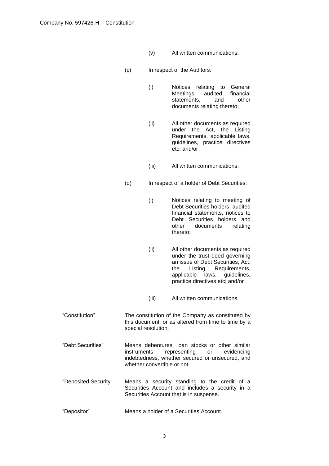- (v) All written communications.
- (c) In respect of the Auditors:
	- (i) Notices relating to General Meetings, audited statements, and other documents relating thereto;
	- (ii) All other documents as required under the Act, the Listing Requirements, applicable laws, guidelines, practice directives etc; and/or
	- (iii) All written communications.
- (d) In respect of a holder of Debt Securities:
	- (i) Notices relating to meeting of Debt Securities holders, audited financial statements, notices to Debt Securities holders and other documents relating thereto;
	- (ii) All other documents as required under the trust deed governing an issue of Debt Securities, Act, the Listing Requirements, applicable laws, guidelines, practice directives etc; and/or
	- (iii) All written communications.
- "Constitution" The constitution of the Company as constituted by this document, or as altered from time to time by a special resolution.
- "Debt Securities" Means debentures, loan stocks or other similar instruments representing or evidencing indebtedness, whether secured or unsecured, and whether convertible or not.
- "Deposited Security" Means a security standing to the credit of a Securities Account and includes a security in a Securities Account that is in suspense.
- "Depositor" Means a holder of a Securities Account.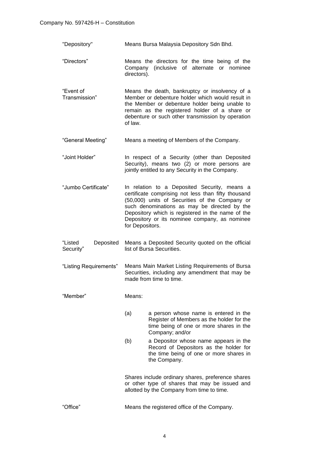- "Depository" Means Bursa Malaysia Depository Sdn Bhd.
- "Directors" Means the directors for the time being of the Company (inclusive of alternate or nominee directors).
- "Event of Transmission" Means the death, bankruptcy or insolvency of a Member or debenture holder which would result in the Member or debenture holder being unable to remain as the registered holder of a share or debenture or such other transmission by operation of law.
- "General Meeting" Means a meeting of Members of the Company.
- "Joint Holder" In respect of a Security (other than Deposited Security), means two (2) or more persons are jointly entitled to any Security in the Company.
- "Jumbo Certificate" In relation to a Deposited Security, means a certificate comprising not less than fifty thousand (50,000) units of Securities of the Company or such denominations as may be directed by the Depository which is registered in the name of the Depository or its nominee company, as nominee for Depositors.
- "Listed Deposited Security" Means a Deposited Security quoted on the official list of Bursa Securities.
- "Listing Requirements" Means Main Market Listing Requirements of Bursa Securities, including any amendment that may be made from time to time.
- "Member" Means:
	- (a) a person whose name is entered in the Register of Members as the holder for the time being of one or more shares in the Company; and/or
	- (b) a Depositor whose name appears in the Record of Depositors as the holder for the time being of one or more shares in the Company.

Shares include ordinary shares, preference shares or other type of shares that may be issued and allotted by the Company from time to time.

"Office" Means the registered office of the Company.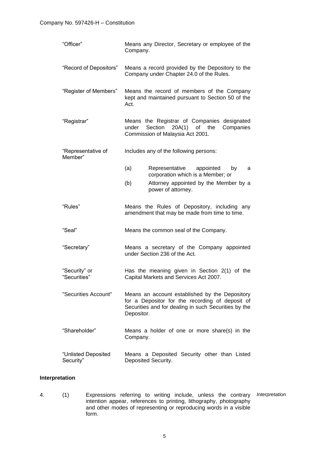| "Officer"                        | Means any Director, Secretary or employee of the<br>Company.                                                                                                            |
|----------------------------------|-------------------------------------------------------------------------------------------------------------------------------------------------------------------------|
| "Record of Depositors"           | Means a record provided by the Depository to the<br>Company under Chapter 24.0 of the Rules.                                                                            |
| "Register of Members"            | Means the record of members of the Company<br>kept and maintained pursuant to Section 50 of the<br>Act.                                                                 |
| "Registrar"                      | Means the Registrar of Companies designated<br>Companies<br>Section<br>$20A(1)$ of the<br>under<br>Commission of Malaysia Act 2001.                                     |
| "Representative of<br>Member"    | Includes any of the following persons:                                                                                                                                  |
|                                  | (a)<br>Representative<br>appointed<br>by<br>a<br>corporation which is a Member; or                                                                                      |
|                                  | (b)<br>Attorney appointed by the Member by a<br>power of attorney.                                                                                                      |
| "Rules"                          | Means the Rules of Depository, including any<br>amendment that may be made from time to time.                                                                           |
| "Seal"                           | Means the common seal of the Company.                                                                                                                                   |
| "Secretary"                      | Means a secretary of the Company appointed<br>under Section 236 of the Act.                                                                                             |
| "Security" or<br>"Securities"    | Has the meaning given in Section 2(1) of the<br>Capital Markets and Services Act 2007.                                                                                  |
| "Securities Account"             | Means an account established by the Depository<br>for a Depositor for the recording of deposit of<br>Securities and for dealing in such Securities by the<br>Depositor. |
| "Shareholder"                    | Means a holder of one or more share(s) in the<br>Company.                                                                                                               |
| "Unlisted Deposited<br>Security" | Means a Deposited Security other than Listed<br>Deposited Security.                                                                                                     |

# **Interpretation**

4. (1) Expressions referring to writing include, unless the contrary intention appear, references to printing, lithography, photography and other modes of representing or reproducing words in a visible form. *Interpretation*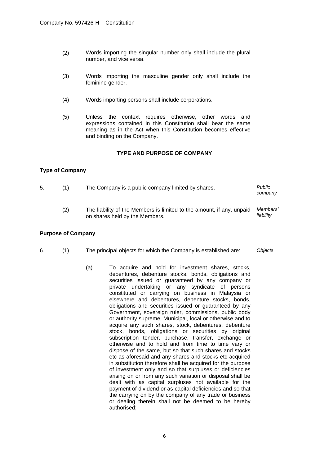- (2) Words importing the singular number only shall include the plural number, and vice versa.
- (3) Words importing the masculine gender only shall include the feminine gender.
- (4) Words importing persons shall include corporations.

on shares held by the Members.

(5) Unless the context requires otherwise, other words and expressions contained in this Constitution shall bear the same meaning as in the Act when this Constitution becomes effective and binding on the Company.

# **TYPE AND PURPOSE OF COMPANY**

# **Type of Company**

| 5. | (1) | The Company is a public company limited by shares.<br>company         |          |
|----|-----|-----------------------------------------------------------------------|----------|
|    |     | The liability of the Members is limited to the amount, if any, unpaid | Members' |

*liability*

## **Purpose of Company**

- 6. (1) The principal objects for which the Company is established are: *Objects*
	- (a) To acquire and hold for investment shares, stocks, debentures, debenture stocks, bonds, obligations and securities issued or guaranteed by any company or private undertaking or any syndicate of persons constituted or carrying on business in Malaysia or elsewhere and debentures, debenture stocks, bonds, obligations and securities issued or guaranteed by any Government, sovereign ruler, commissions, public body or authority supreme, Municipal, local or otherwise and to acquire any such shares, stock, debentures, debenture stock, bonds, obligations or securities by original subscription tender, purchase, transfer, exchange or otherwise and to hold and from time to time vary or dispose of the same, but so that such shares and stocks etc as aforesaid and any shares and stocks etc acquired in substitution therefore shall be acquired for the purpose of investment only and so that surpluses or deficiencies arising on or from any such variation or disposal shall be dealt with as capital surpluses not available for the payment of dividend or as capital deficiencies and so that the carrying on by the company of any trade or business or dealing therein shall not be deemed to be hereby authorised;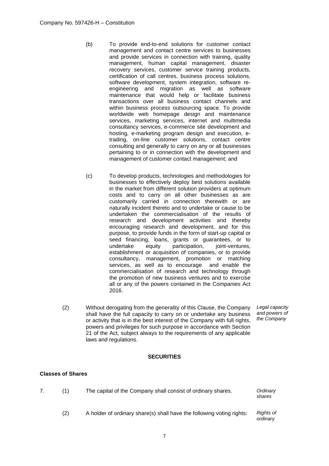- (b) To provide end-to-end solutions for customer contact management and contact centre services to businesses and provide services in connection with training, quality management, human capital management, disaster recovery services, customer service training products, certification of call centres, business process solutions, software development, system integration, software reengineering and migration as well as software maintenance that would help or facilitate business transactions over all business contact channels and within business process outsourcing space. To provide worldwide web homepage design and maintenance services, marketing services, internet and multimedia consultancy services, e-commerce site development and hosting, e-marketing program design and execution, etrading, on-line customer solutions, contact centre consulting and generally to carry on any or all businesses pertaining to or in connection with the development and management of customer contact management; and
- (c) To develop products, technologies and methodologies for businesses to effectively deploy best solutions available in the market from different solution providers at optimum costs and to carry on all other businesses as are customarily carried in connection therewith or are naturally incident thereto and to undertake or cause to be undertaken the commercialisation of the results of research and development activities and thereby encouraging research and development, and for this purpose, to provide funds in the form of start-up capital or seed financing, loans, grants or guarantees, or to undertake equity participation, joint-ventures, establishment or acquisition of companies, or to provide consultancy, management, promotion or matching services, as well as to encourage and enable the commercialisation of research and technology through the promotion of new business ventures and to exercise all or any of the powers contained in the Companies Act 2016.
- (2) Without derogating from the generality of this Clause, the Company shall have the full capacity to carry on or undertake any business or activity that is in the best interest of the Company with full rights, powers and privileges for such purpose in accordance with Section 21 of the Act, subject always to the requirements of any applicable laws and regulations.

*Legal capacity and powers of the Company*

# **SECURITIES**

## **Classes of Shares**

| (1) | The capital of the Company shall consist of ordinary shares.          | Ordinary<br>shares    |
|-----|-----------------------------------------------------------------------|-----------------------|
| (2) | A holder of ordinary share(s) shall have the following voting rights: | Rights of<br>ordinary |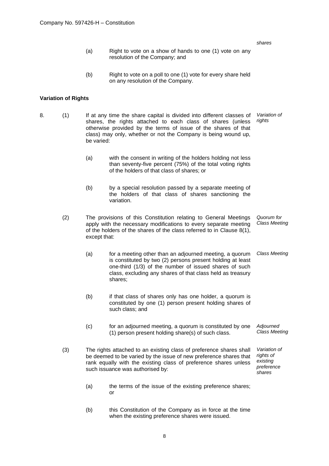| (a) | Right to vote on a show of hands to one (1) vote on any |
|-----|---------------------------------------------------------|
|     | resolution of the Company; and                          |

*shares*

(b) Right to vote on a poll to one (1) vote for every share held on any resolution of the Company.

## **Variation of Rights**

- 8. (1) If at any time the share capital is divided into different classes of shares, the rights attached to each class of shares (unless otherwise provided by the terms of issue of the shares of that class) may only, whether or not the Company is being wound up, be varied: *Variation of rights*
	- (a) with the consent in writing of the holders holding not less than seventy-five percent (75%) of the total voting rights of the holders of that class of shares; or
	- (b) by a special resolution passed by a separate meeting of the holders of that class of shares sanctioning the variation.
	- (2) The provisions of this Constitution relating to General Meetings apply with the necessary modifications to every separate meeting of the holders of the shares of the class referred to in Clause 8(1), except that: *Quorum for Class Meeting*
		- (a) for a meeting other than an adjourned meeting, a quorum is constituted by two (2) persons present holding at least one-third (1/3) of the number of issued shares of such class, excluding any shares of that class held as treasury shares; *Class Meeting*
		- (b) if that class of shares only has one holder, a quorum is constituted by one (1) person present holding shares of such class; and
		- (c) for an adjourned meeting, a quorum is constituted by one (1) person present holding share(s) of such class. *Adjourned Class Meeting*
	- (3) The rights attached to an existing class of preference shares shall be deemed to be varied by the issue of new preference shares that rank equally with the existing class of preference shares unless such issuance was authorised by: *Variation of rights of existing preference shares*
		- (a) the terms of the issue of the existing preference shares; or
		- (b) this Constitution of the Company as in force at the time when the existing preference shares were issued.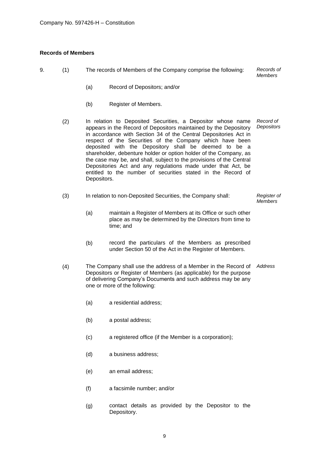# **Records of Members**

| 9. | (1) |             | The records of Members of the Company comprise the following:                                                                                                                                                                                                                                                                                                                                                                                                                                                                                                                                         | Records of<br><b>Members</b>  |
|----|-----|-------------|-------------------------------------------------------------------------------------------------------------------------------------------------------------------------------------------------------------------------------------------------------------------------------------------------------------------------------------------------------------------------------------------------------------------------------------------------------------------------------------------------------------------------------------------------------------------------------------------------------|-------------------------------|
|    |     | (a)         | Record of Depositors; and/or                                                                                                                                                                                                                                                                                                                                                                                                                                                                                                                                                                          |                               |
|    |     | (b)         | Register of Members.                                                                                                                                                                                                                                                                                                                                                                                                                                                                                                                                                                                  |                               |
|    | (2) | Depositors. | In relation to Deposited Securities, a Depositor whose name<br>appears in the Record of Depositors maintained by the Depository<br>in accordance with Section 34 of the Central Depositories Act in<br>respect of the Securities of the Company which have been<br>deposited with the Depository shall be deemed to be a<br>shareholder, debenture holder or option holder of the Company, as<br>the case may be, and shall, subject to the provisions of the Central<br>Depositories Act and any regulations made under that Act, be<br>entitled to the number of securities stated in the Record of | Record of<br>Depositors       |
|    | (3) |             | In relation to non-Deposited Securities, the Company shall:                                                                                                                                                                                                                                                                                                                                                                                                                                                                                                                                           | Register of<br><b>Members</b> |
|    |     | (a)         | maintain a Register of Members at its Office or such other<br>place as may be determined by the Directors from time to<br>time; and                                                                                                                                                                                                                                                                                                                                                                                                                                                                   |                               |
|    |     | (b)         | record the particulars of the Members as prescribed<br>under Section 50 of the Act in the Register of Members.                                                                                                                                                                                                                                                                                                                                                                                                                                                                                        |                               |
|    | (4) |             | The Company shall use the address of a Member in the Record of<br>Depositors or Register of Members (as applicable) for the purpose<br>of delivering Company's Documents and such address may be any<br>one or more of the following:                                                                                                                                                                                                                                                                                                                                                                 | Address                       |
|    |     | (a)         | a residential address;                                                                                                                                                                                                                                                                                                                                                                                                                                                                                                                                                                                |                               |
|    |     | (b)         | a postal address;                                                                                                                                                                                                                                                                                                                                                                                                                                                                                                                                                                                     |                               |
|    |     | (c)         | a registered office (if the Member is a corporation);                                                                                                                                                                                                                                                                                                                                                                                                                                                                                                                                                 |                               |
|    |     | (d)         | a business address;                                                                                                                                                                                                                                                                                                                                                                                                                                                                                                                                                                                   |                               |
|    |     | (e)         | an email address;                                                                                                                                                                                                                                                                                                                                                                                                                                                                                                                                                                                     |                               |
|    |     | (f)         | a facsimile number; and/or                                                                                                                                                                                                                                                                                                                                                                                                                                                                                                                                                                            |                               |
|    |     | (g)         | contact details as provided by the Depositor to the<br>Depository.                                                                                                                                                                                                                                                                                                                                                                                                                                                                                                                                    |                               |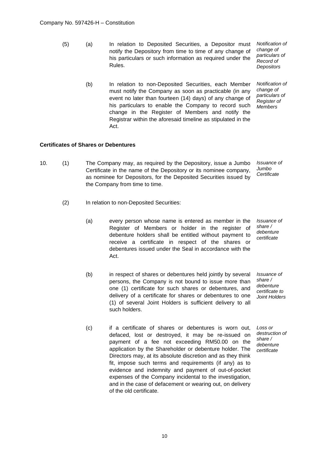(5) (a) In relation to Deposited Securities, a Depositor must notify the Depository from time to time of any change of his particulars or such information as required under the Rules.

*Notification of change of particulars of Record of Depositors*

(b) In relation to non-Deposited Securities, each Member must notify the Company as soon as practicable (in any event no later than fourteen (14) days) of any change of his particulars to enable the Company to record such change in the Register of Members and notify the Registrar within the aforesaid timeline as stipulated in the Act.

*Notification of change of particulars of Register of Members*

# **Certificates of Shares or Debentures**

- 10. (1) The Company may, as required by the Depository, issue a Jumbo Certificate in the name of the Depository or its nominee company, as nominee for Depositors, for the Deposited Securities issued by the Company from time to time. *Issuance of Jumbo Certificate*
	- (2) In relation to non-Deposited Securities:
		- (a) every person whose name is entered as member in the Register of Members or holder in the register of debenture holders shall be entitled without payment to receive a certificate in respect of the shares or debentures issued under the Seal in accordance with the Act. *Issuance of share / debenture certificate*
		- (b) in respect of shares or debentures held jointly by several persons, the Company is not bound to issue more than one (1) certificate for such shares or debentures, and delivery of a certificate for shares or debentures to one (1) of several Joint Holders is sufficient delivery to all such holders.

*Issuance of share / debenture certificate to Joint Holders*

(c) if a certificate of shares or debentures is worn out, defaced, lost or destroyed, it may be re-issued on payment of a fee not exceeding RM50.00 on the application by the Shareholder or debenture holder. The Directors may, at its absolute discretion and as they think fit, impose such terms and requirements (if any) as to evidence and indemnity and payment of out-of-pocket expenses of the Company incidental to the investigation, and in the case of defacement or wearing out, on delivery of the old certificate.

*Loss or destruction of share / debenture certificate*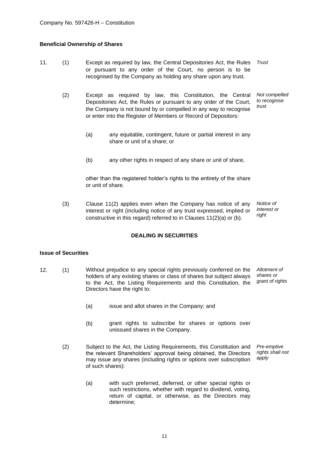# **Beneficial Ownership of Shares**

- 11. (1) Except as required by law, the Central Depositories Act, the Rules or pursuant to any order of the Court, no person is to be recognised by the Company as holding any share upon any trust. *Trust*
	- (2) Except as required by law, this Constitution, the Central Depositories Act, the Rules or pursuant to any order of the Court, the Company is not bound by or compelled in any way to recognise or enter into the Register of Members or Record of Depositors: *Not compelled to recognise trust*
		- (a) any equitable, contingent, future or partial interest in any share or unit of a share; or
		- (b) any other rights in respect of any share or unit of share,

other than the registered holder's rights to the entirety of the share or unit of share.

(3) Clause 11(2) applies even when the Company has notice of any interest or right (including notice of any trust expressed, implied or constructive in this regard) referred to in Clauses 11(2)(a) or (b). *Notice of interest or right*

# **DEALING IN SECURITIES**

### **Issue of Securities**

- 12. (1) Without prejudice to any special rights previously conferred on the holders of any existing shares or class of shares but subject always to the Act, the Listing Requirements and this Constitution, the Directors have the right to: *Allotment of shares or grant of rights*
	- (a) issue and allot shares in the Company; and
	- (b) grant rights to subscribe for shares or options over unissued shares in the Company.
	- (2) Subject to the Act, the Listing Requirements, this Constitution and the relevant Shareholders' approval being obtained, the Directors may issue any shares (including rights or options over subscription of such shares): *Pre-emptive rights shall not apply*
		- (a) with such preferred, deferred, or other special rights or such restrictions, whether with regard to dividend, voting, return of capital, or otherwise, as the Directors may determine;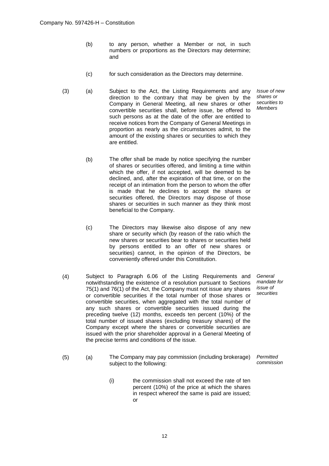- (b) to any person, whether a Member or not, in such numbers or proportions as the Directors may determine; and
- (c) for such consideration as the Directors may determine.
- (3) (a) Subject to the Act, the Listing Requirements and any direction to the contrary that may be given by the Company in General Meeting, all new shares or other convertible securities shall, before issue, be offered to such persons as at the date of the offer are entitled to receive notices from the Company of General Meetings in proportion as nearly as the circumstances admit, to the amount of the existing shares or securities to which they are entitled.
	- (b) The offer shall be made by notice specifying the number of shares or securities offered, and limiting a time within which the offer, if not accepted, will be deemed to be declined, and, after the expiration of that time, or on the receipt of an intimation from the person to whom the offer is made that he declines to accept the shares or securities offered, the Directors may dispose of those shares or securities in such manner as they think most beneficial to the Company.
	- (c) The Directors may likewise also dispose of any new share or security which (by reason of the ratio which the new shares or securities bear to shares or securities held by persons entitled to an offer of new shares or securities) cannot, in the opinion of the Directors, be conveniently offered under this Constitution.
- (4) Subject to Paragraph 6.06 of the Listing Requirements and notwithstanding the existence of a resolution pursuant to Sections 75(1) and 76(1) of the Act, the Company must not issue any shares or convertible securities if the total number of those shares or convertible securities, when aggregated with the total number of any such shares or convertible securities issued during the preceding twelve (12) months, exceeds ten percent (10%) of the total number of issued shares (excluding treasury shares) of the Company except where the shares or convertible securities are issued with the prior shareholder approval in a General Meeting of the precise terms and conditions of the issue.
	- *mandate for issue of securities*

*General*

- (5) (a) The Company may pay commission (including brokerage) subject to the following: *Permitted commission*
	- (i) the commission shall not exceed the rate of ten percent (10%) of the price at which the shares in respect whereof the same is paid are issued; or

*Issue of new shares or securities to Members*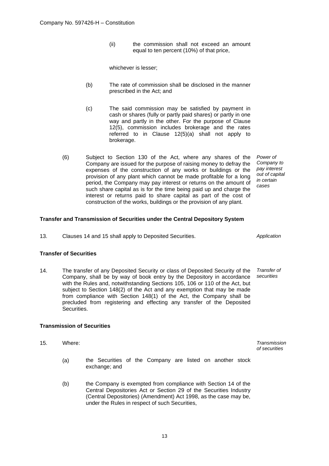(ii) the commission shall not exceed an amount equal to ten percent (10%) of that price,

whichever is lesser;

- (b) The rate of commission shall be disclosed in the manner prescribed in the Act; and
- (c) The said commission may be satisfied by payment in cash or shares (fully or partly paid shares) or partly in one way and partly in the other. For the purpose of Clause 12(5), commission includes brokerage and the rates referred to in Clause 12(5)(a) shall not apply to brokerage.
- (6) Subject to Section 130 of the Act, where any shares of the Company are issued for the purpose of raising money to defray the expenses of the construction of any works or buildings or the provision of any plant which cannot be made profitable for a long period, the Company may pay interest or returns on the amount of such share capital as is for the time being paid up and charge the interest or returns paid to share capital as part of the cost of construction of the works, buildings or the provision of any plant.

# **Transfer and Transmission of Securities under the Central Depository System**

13. Clauses 14 and 15 shall apply to Deposited Securities. *Application*

# **Transfer of Securities**

14. The transfer of any Deposited Security or class of Deposited Security of the Company, shall be by way of book entry by the Depository in accordance with the Rules and, notwithstanding Sections 105, 106 or 110 of the Act, but subject to Section 148(2) of the Act and any exemption that may be made from compliance with Section 148(1) of the Act, the Company shall be precluded from registering and effecting any transfer of the Deposited Securities. *Transfer of securities*

# **Transmission of Securities**

15. Where: *Transmission* 

- (a) the Securities of the Company are listed on another stock exchange; and
- (b) the Company is exempted from compliance with Section 14 of the Central Depositories Act or Section 29 of the Securities Industry (Central Depositories) (Amendment) Act 1998, as the case may be, under the Rules in respect of such Securities,

*Power of Company to pay interest out of capital in certain cases*

*of securities*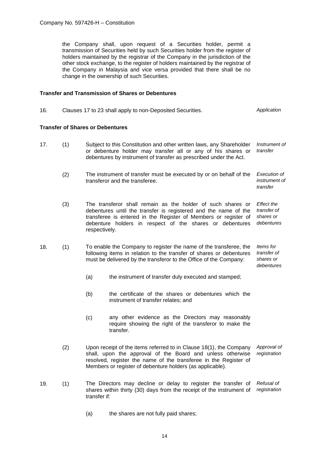the Company shall, upon request of a Securities holder, permit a transmission of Securities held by such Securities holder from the register of holders maintained by the registrar of the Company in the jurisdiction of the other stock exchange, to the register of holders maintained by the registrar of the Company in Malaysia and vice versa provided that there shall be no change in the ownership of such Securities.

# **Transfer and Transmission of Shares or Debentures**

| 16. | Clauses 17 to 23 shall apply to non-Deposited Securities. | Application |
|-----|-----------------------------------------------------------|-------------|
|     |                                                           |             |

#### **Transfer of Shares or Debentures**

- 17. (1) Subject to this Constitution and other written laws, any Shareholder or debenture holder may transfer all or any of his shares or debentures by instrument of transfer as prescribed under the Act. *Instrument of transfer*
	- (2) The instrument of transfer must be executed by or on behalf of the transferor and the transferee. *Execution of instrument of transfer*
	- (3) The transferor shall remain as the holder of such shares or debentures until the transfer is registered and the name of the transferee is entered in the Register of Members or register of debenture holders in respect of the shares or debentures respectively. *Effect the transfer of shares or debentures*
- 18. (1) To enable the Company to register the name of the transferee, the following items in relation to the transfer of shares or debentures must be delivered by the transferor to the Office of the Company: *Items for transfer of shares or debentures*
	- (a) the instrument of transfer duly executed and stamped;
	- (b) the certificate of the shares or debentures which the instrument of transfer relates; and
	- (c) any other evidence as the Directors may reasonably require showing the right of the transferor to make the transfer.
	- (2) Upon receipt of the items referred to in Clause 18(1), the Company shall, upon the approval of the Board and unless otherwise resolved, register the name of the transferee in the Register of Members or register of debenture holders (as applicable). *Approval of registration*
- 19. (1) The Directors may decline or delay to register the transfer of shares within thirty (30) days from the receipt of the instrument of transfer if: *Refusal of registration*
	- (a) the shares are not fully paid shares;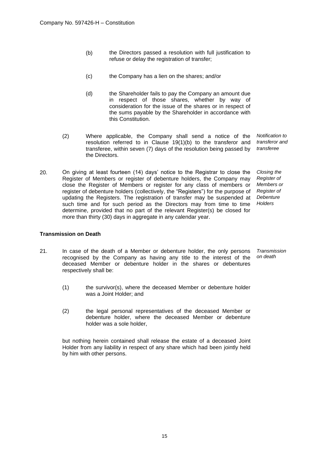- (b) the Directors passed a resolution with full justification to refuse or delay the registration of transfer;
- (c) the Company has a lien on the shares; and/or
- (d) the Shareholder fails to pay the Company an amount due in respect of those shares, whether by way of consideration for the issue of the shares or in respect of the sums payable by the Shareholder in accordance with this Constitution.
- (2) Where applicable, the Company shall send a notice of the *Notification to*  resolution referred to in Clause 19(1)(b) to the transferor and *transferor and*  transferee, within seven (7) days of the resolution being passed by *transferee* the Directors.
- 20. On giving at least fourteen (14) days' notice to the Registrar to close the Register of Members or register of debenture holders, the Company may close the Register of Members or register for any class of members or register of debenture holders (collectively, the "Registers") for the purpose of updating the Registers. The registration of transfer may be suspended at *Debenture*  such time and for such period as the Directors may from time to time *Holders*  determine, provided that no part of the relevant Register(s) be closed for more than thirty (30) days in aggregate in any calendar year.

*Closing the Register of Members or Register of* 

# **Transmission on Death**

- 21. In case of the death of a Member or debenture holder, the only persons recognised by the Company as having any title to the interest of the deceased Member or debenture holder in the shares or debentures respectively shall be: *Transmission on death*
	- (1) the survivor(s), where the deceased Member or debenture holder was a Joint Holder; and
	- (2) the legal personal representatives of the deceased Member or debenture holder, where the deceased Member or debenture holder was a sole holder,

but nothing herein contained shall release the estate of a deceased Joint Holder from any liability in respect of any share which had been jointly held by him with other persons.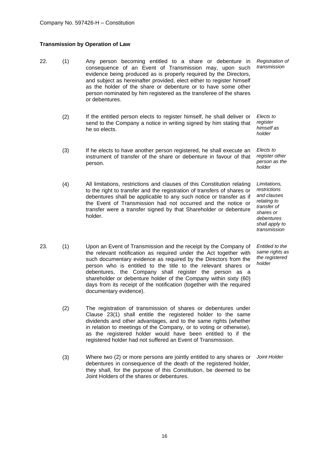# **Transmission by Operation of Law**

- 22. (1) Any person becoming entitled to a share or debenture in consequence of an Event of Transmission may, upon such evidence being produced as is properly required by the Directors, and subject as hereinafter provided, elect either to register himself as the holder of the share or debenture or to have some other person nominated by him registered as the transferee of the shares or debentures. *Registration of transmission*
	- (2) If the entitled person elects to register himself, he shall deliver or send to the Company a notice in writing signed by him stating that he so elects. *Elects to register himself as*
	- (3) If he elects to have another person registered, he shall execute an instrument of transfer of the share or debenture in favour of that person.
	- (4) All limitations, restrictions and clauses of this Constitution relating to the right to transfer and the registration of transfers of shares or debentures shall be applicable to any such notice or transfer as if the Event of Transmission had not occurred and the notice or transfer were a transfer signed by that Shareholder or debenture holder.
- 23. (1) Upon an Event of Transmission and the receipt by the Company of the relevant notification as required under the Act together with such documentary evidence as required by the Directors from the person who is entitled to the title to the relevant shares or debentures, the Company shall register the person as a shareholder or debenture holder of the Company within sixty (60) days from its receipt of the notification (together with the required documentary evidence).
	- (2) The registration of transmission of shares or debentures under Clause 23(1) shall entitle the registered holder to the same dividends and other advantages, and to the same rights (whether in relation to meetings of the Company, or to voting or otherwise), as the registered holder would have been entitled to if the registered holder had not suffered an Event of Transmission.
	- (3) Where two (2) or more persons are jointly entitled to any shares or debentures in consequence of the death of the registered holder. they shall, for the purpose of this Constitution, be deemed to be Joint Holders of the shares or debentures.

*holder Elects to register other person as the holder Limitations, restrictions and clauses* 

*relating to transfer of shares or debentures shall apply to transmission*

*Entitled to the same rights as the registered holder*

*Joint Holder*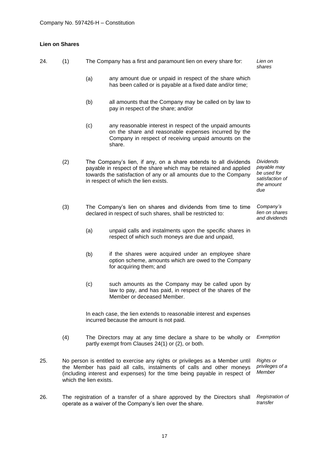# **Lien on Shares**

| 24. | (1) |                                                                                                                                                                              | The Company has a first and paramount lien on every share for:                                                                                                                                                                                    | Lien on<br>shares                                                                      |
|-----|-----|------------------------------------------------------------------------------------------------------------------------------------------------------------------------------|---------------------------------------------------------------------------------------------------------------------------------------------------------------------------------------------------------------------------------------------------|----------------------------------------------------------------------------------------|
|     |     | (a)                                                                                                                                                                          | any amount due or unpaid in respect of the share which<br>has been called or is payable at a fixed date and/or time;                                                                                                                              |                                                                                        |
|     |     | (b)                                                                                                                                                                          | all amounts that the Company may be called on by law to<br>pay in respect of the share; and/or                                                                                                                                                    |                                                                                        |
|     |     | (c)                                                                                                                                                                          | any reasonable interest in respect of the unpaid amounts<br>on the share and reasonable expenses incurred by the<br>Company in respect of receiving unpaid amounts on the<br>share.                                                               |                                                                                        |
|     | (2) |                                                                                                                                                                              | The Company's lien, if any, on a share extends to all dividends<br>payable in respect of the share which may be retained and applied<br>towards the satisfaction of any or all amounts due to the Company<br>in respect of which the lien exists. | <b>Dividends</b><br>payable may<br>be used for<br>satisfaction of<br>the amount<br>due |
|     | (3) |                                                                                                                                                                              | The Company's lien on shares and dividends from time to time<br>declared in respect of such shares, shall be restricted to:                                                                                                                       | Company's<br>lien on shares<br>and dividends                                           |
|     |     | (a)                                                                                                                                                                          | unpaid calls and instalments upon the specific shares in<br>respect of which such moneys are due and unpaid,                                                                                                                                      |                                                                                        |
|     |     | (b)                                                                                                                                                                          | if the shares were acquired under an employee share<br>option scheme, amounts which are owed to the Company<br>for acquiring them; and                                                                                                            |                                                                                        |
|     |     | (c)                                                                                                                                                                          | such amounts as the Company may be called upon by<br>law to pay, and has paid, in respect of the shares of the<br>Member or deceased Member.                                                                                                      |                                                                                        |
|     |     |                                                                                                                                                                              | In each case, the lien extends to reasonable interest and expenses<br>incurred because the amount is not paid.                                                                                                                                    |                                                                                        |
|     | (4) |                                                                                                                                                                              | The Directors may at any time declare a share to be wholly or<br>partly exempt from Clauses 24(1) or (2), or both.                                                                                                                                | Exemption                                                                              |
| 25. |     | which the lien exists.                                                                                                                                                       | No person is entitled to exercise any rights or privileges as a Member until<br>the Member has paid all calls, instalments of calls and other moneys<br>(including interest and expenses) for the time being payable in respect of                | <b>Rights or</b><br>privileges of a<br>Member                                          |
| 26. |     | The registration of a transfer of a share approved by the Directors shall<br><b>Registration of</b><br>transfer<br>operate as a waiver of the Company's lien over the share. |                                                                                                                                                                                                                                                   |                                                                                        |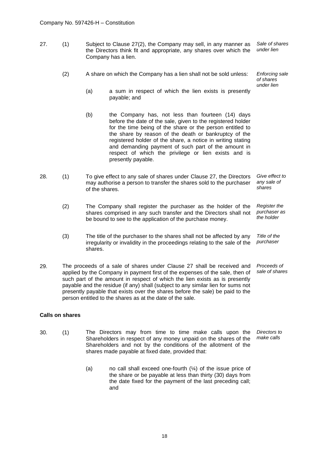27. (1) Subject to Clause 27(2), the Company may sell, in any manner as the Directors think fit and appropriate, any shares over which the Company has a lien. *Sale of shares under lien*

payable; and

(2) A share on which the Company has a lien shall not be sold unless: *Enforcing sale of shares*

> *under lien* (a) a sum in respect of which the lien exists is presently

- (b) the Company has, not less than fourteen (14) days before the date of the sale, given to the registered holder for the time being of the share or the person entitled to the share by reason of the death or bankruptcy of the registered holder of the share, a notice in writing stating and demanding payment of such part of the amount in respect of which the privilege or lien exists and is presently payable.
- 28. (1) To give effect to any sale of shares under Clause 27, the Directors may authorise a person to transfer the shares sold to the purchaser of the shares. *Give effect to any sale of shares*
	- (2) The Company shall register the purchaser as the holder of the shares comprised in any such transfer and the Directors shall not be bound to see to the application of the purchase money. *Register the purchaser as the holder*
	- (3) The title of the purchaser to the shares shall not be affected by any irregularity or invalidity in the proceedings relating to the sale of the shares. *Title of the purchaser*
- 29. The proceeds of a sale of shares under Clause 27 shall be received and applied by the Company in payment first of the expenses of the sale, then of such part of the amount in respect of which the lien exists as is presently payable and the residue (if any) shall (subject to any similar lien for sums not presently payable that exists over the shares before the sale) be paid to the person entitled to the shares as at the date of the sale. *Proceeds of sale of shares*

# **Calls on shares**

- 30. (1) The Directors may from time to time make calls upon the Shareholders in respect of any money unpaid on the shares of the Shareholders and not by the conditions of the allotment of the shares made payable at fixed date, provided that: *Directors to make calls*
	- (a) no call shall exceed one-fourth  $(\frac{1}{4})$  of the issue price of the share or be payable at less than thirty (30) days from the date fixed for the payment of the last preceding call; and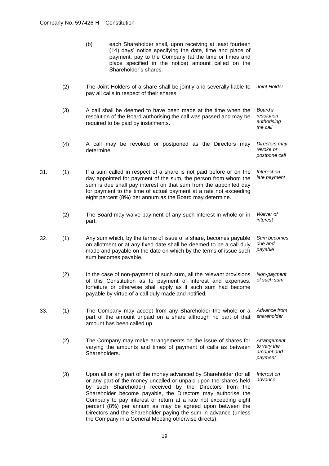| (b) | each Shareholder shall, upon receiving at least fourteen<br>(14) days' notice specifying the date, time and place of |  |  |  |  |  |
|-----|----------------------------------------------------------------------------------------------------------------------|--|--|--|--|--|
|     | payment, pay to the Company (at the time or times and<br>place specified in the notice) amount called on the         |  |  |  |  |  |
|     | Shareholder's shares.                                                                                                |  |  |  |  |  |

- (2) The Joint Holders of a share shall be jointly and severally liable to pay all calls in respect of their shares. *Joint Holder*
- (3) A call shall be deemed to have been made at the time when the resolution of the Board authorising the call was passed and may be required to be paid by instalments. *Board's resolution authorising the call*
- (4) A call may be revoked or postponed as the Directors may determine. *Directors may revoke or postpone call*
- 31. (1) If a sum called in respect of a share is not paid before or on the day appointed for payment of the sum, the person from whom the sum is due shall pay interest on that sum from the appointed day for payment to the time of actual payment at a rate not exceeding eight percent (8%) per annum as the Board may determine. *Interest on late payment*
	- (2) The Board may waive payment of any such interest in whole or in part. *Waiver of interest*
- 32. (1) Any sum which, by the terms of issue of a share, becomes payable on allotment or at any fixed date shall be deemed to be a call duly made and payable on the date on which by the terms of issue such sum becomes payable. *Sum becomes due and payable*
	- (2) In the case of non-payment of such sum, all the relevant provisions of this Constitution as to payment of interest and expenses, forfeiture or otherwise shall apply as if such sum had become payable by virtue of a call duly made and notified. *Non-payment of such sum*
- 33. (1) The Company may accept from any Shareholder the whole or a part of the amount unpaid on a share although no part of that amount has been called up. *Advance from shareholder*
	- (2) The Company may make arrangements on the issue of shares for varying the amounts and times of payment of calls as between Shareholders. *Arrangement to vary the amount and payment*
	- (3) Upon all or any part of the money advanced by Shareholder (for all or any part of the money uncalled or unpaid upon the shares held by such Shareholder) received by the Directors from the Shareholder become payable, the Directors may authorise the Company to pay interest or return at a rate not exceeding eight percent (8%) per annum as may be agreed upon between the Directors and the Shareholder paying the sum in advance (unless the Company in a General Meeting otherwise directs). *Interest on advance*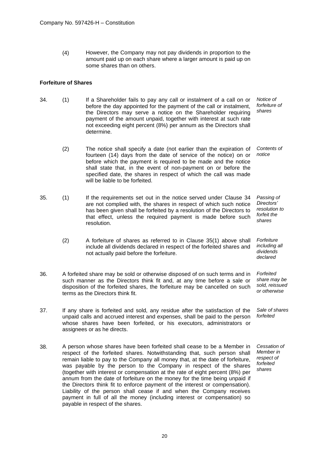(4) However, the Company may not pay dividends in proportion to the amount paid up on each share where a larger amount is paid up on some shares than on others.

# **Forfeiture of Shares**

- 34. (1) If a Shareholder fails to pay any call or instalment of a call on or before the day appointed for the payment of the call or instalment, the Directors may serve a notice on the Shareholder requiring payment of the amount unpaid, together with interest at such rate not exceeding eight percent (8%) per annum as the Directors shall determine. *Notice of forfeiture of shares*
	- (2) The notice shall specify a date (not earlier than the expiration of fourteen (14) days from the date of service of the notice) on or before which the payment is required to be made and the notice shall state that, in the event of non-payment on or before the specified date, the shares in respect of which the call was made will be liable to be forfeited. *Contents of notice*
- 35. (1) If the requirements set out in the notice served under Clause 34 are not complied with, the shares in respect of which such notice has been given shall be forfeited by a resolution of the Directors to that effect, unless the required payment is made before such resolution. *Passing of Directors' resolution to forfeit the shares*
	- (2) A forfeiture of shares as referred to in Clause 35(1) above shall include all dividends declared in respect of the forfeited shares and not actually paid before the forfeiture. *Forfeiture including all dividends declared*
- 36. A forfeited share may be sold or otherwise disposed of on such terms and in such manner as the Directors think fit and, at any time before a sale or disposition of the forfeited shares, the forfeiture may be cancelled on such terms as the Directors think fit. *Forfeited share may be sold, reissued or otherwise*
- 37. If any share is forfeited and sold, any residue after the satisfaction of the unpaid calls and accrued interest and expenses, shall be paid to the person whose shares have been forfeited, or his executors, administrators or assignees or as he directs. *Sale of shares forfeited*
- 38. A person whose shares have been forfeited shall cease to be a Member in respect of the forfeited shares. Notwithstanding that, such person shall remain liable to pay to the Company all money that, at the date of forfeiture, was payable by the person to the Company in respect of the shares (together with interest or compensation at the rate of eight percent (8%) per annum from the date of forfeiture on the money for the time being unpaid if the Directors think fit to enforce payment of the interest or compensation). Liability of the person shall cease if and when the Company receives payment in full of all the money (including interest or compensation) so payable in respect of the shares. *Cessation of Member in respect of forfeited shares*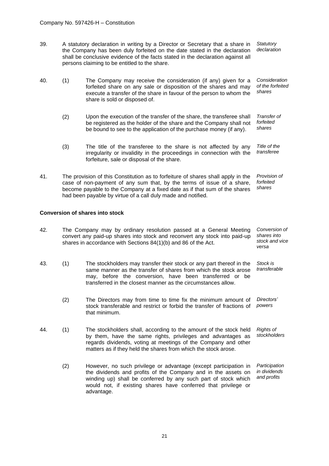- 39. A statutory declaration in writing by a Director or Secretary that a share in the Company has been duly forfeited on the date stated in the declaration shall be conclusive evidence of the facts stated in the declaration against all persons claiming to be entitled to the share. *Statutory declaration*
- 40. (1) The Company may receive the consideration (if any) given for a forfeited share on any sale or disposition of the shares and may execute a transfer of the share in favour of the person to whom the share is sold or disposed of. *Consideration of the forfeited shares*
	- (2) Upon the execution of the transfer of the share, the transferee shall be registered as the holder of the share and the Company shall not be bound to see to the application of the purchase money (if any). *Transfer of forfeited shares*
	- (3) The title of the transferee to the share is not affected by any irregularity or invalidity in the proceedings in connection with the forfeiture, sale or disposal of the share. *Title of the transferee*
- 41. The provision of this Constitution as to forfeiture of shares shall apply in the case of non-payment of any sum that, by the terms of issue of a share, become payable to the Company at a fixed date as if that sum of the shares had been payable by virtue of a call duly made and notified. *Provision of forfeited shares*

## **Conversion of shares into stock**

- 42. The Company may by ordinary resolution passed at a General Meeting convert any paid-up shares into stock and reconvert any stock into paid-up shares in accordance with Sections 84(1)(b) and 86 of the Act. *Conversion of shares into stock and vice versa*
- 43. (1) The stockholders may transfer their stock or any part thereof in the same manner as the transfer of shares from which the stock arose may, before the conversion, have been transferred or be transferred in the closest manner as the circumstances allow. *Stock is transferable*
	- (2) The Directors may from time to time fix the minimum amount of stock transferable and restrict or forbid the transfer of fractions of that minimum. *Directors' powers*
- 44. (1) The stockholders shall, according to the amount of the stock held by them, have the same rights, privileges and advantages as regards dividends, voting at meetings of the Company and other matters as if they held the shares from which the stock arose. *Rights of stockholders*
	- (2) However, no such privilege or advantage (except participation in the dividends and profits of the Company and in the assets on winding up) shall be conferred by any such part of stock which would not, if existing shares have conferred that privilege or advantage. *Participation in dividends and profits*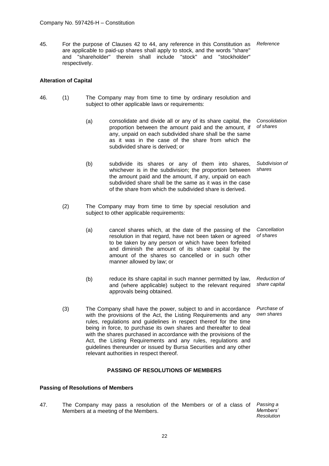45. For the purpose of Clauses 42 to 44, any reference in this Constitution as *Reference* are applicable to paid-up shares shall apply to stock, and the words "share" and "shareholder" therein shall include "stock" and "stockholder" respectively.

# **Alteration of Capital**

- 46. (1) The Company may from time to time by ordinary resolution and subject to other applicable laws or requirements:
	- (a) consolidate and divide all or any of its share capital, the proportion between the amount paid and the amount, if any, unpaid on each subdivided share shall be the same as it was in the case of the share from which the subdivided share is derived; or *Consolidation of shares*
	- (b) subdivide its shares or any of them into shares, whichever is in the subdivision; the proportion between the amount paid and the amount, if any, unpaid on each subdivided share shall be the same as it was in the case of the share from which the subdivided share is derived. *Subdivision of shares*
	- (2) The Company may from time to time by special resolution and subject to other applicable requirements:
		- (a) cancel shares which, at the date of the passing of the resolution in that regard, have not been taken or agreed to be taken by any person or which have been forfeited and diminish the amount of its share capital by the amount of the shares so cancelled or in such other manner allowed by law; or *Cancellation of shares*
		- (b) reduce its share capital in such manner permitted by law, and (where applicable) subject to the relevant required approvals being obtained. *Reduction of share capital*
	- (3) The Company shall have the power, subject to and in accordance with the provisions of the Act, the Listing Requirements and any rules, regulations and guidelines in respect thereof for the time being in force, to purchase its own shares and thereafter to deal with the shares purchased in accordance with the provisions of the Act, the Listing Requirements and any rules, regulations and guidelines thereunder or issued by Bursa Securities and any other relevant authorities in respect thereof. *Purchase of own shares*

# **PASSING OF RESOLUTIONS OF MEMBERS**

## **Passing of Resolutions of Members**

47. The Company may pass a resolution of the Members or of a class of Members at a meeting of the Members. *Passing a Members' Resolution*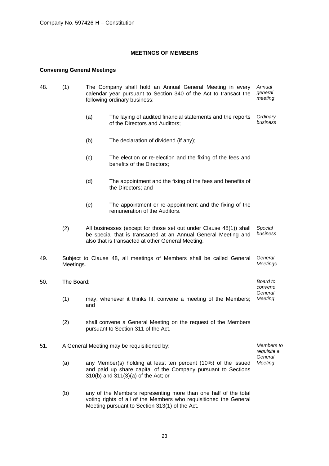# **MEETINGS OF MEMBERS**

# **Convening General Meetings**

- 48. (1) The Company shall hold an Annual General Meeting in every calendar year pursuant to Section 340 of the Act to transact the following ordinary business: *Annual general meeting*
	- (a) The laying of audited financial statements and the reports of the Directors and Auditors; *Ordinary business*
	- (b) The declaration of dividend (if any);
	- (c) The election or re-election and the fixing of the fees and benefits of the Directors;
	- (d) The appointment and the fixing of the fees and benefits of the Directors; and
	- (e) The appointment or re-appointment and the fixing of the remuneration of the Auditors.
	- (2) All businesses (except for those set out under Clause 48(1)) shall be special that is transacted at an Annual General Meeting and also that is transacted at other General Meeting. *Special business*
- 49. Subject to Clause 48, all meetings of Members shall be called General Meetings. *General Meetings*
- 50. The Board: *Board to convene General*  (1) may, whenever it thinks fit, convene a meeting of the Members; *Meeting* and
	- (2) shall convene a General Meeting on the request of the Members pursuant to Section 311 of the Act.
- 51. A General Meeting may be requisitioned by: *Members to requisite a General*  (a) any Member(s) holding at least ten percent (10%) of the issued *Meeting* and paid up share capital of the Company pursuant to Sections 310(b) and 311(3)(a) of the Act; or
	- (b) any of the Members representing more than one half of the total voting rights of all of the Members who requisitioned the General Meeting pursuant to Section 313(1) of the Act.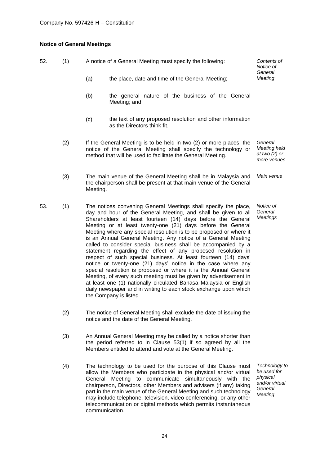# **Notice of General Meetings**

| 52. | (1) | A notice of a General Meeting must specify the following:                                                                                                                                                                                                                                                                                                                                                                                                                                                                                                                                                                                                                                                                                                                                                                                                                                                                                                                            | Contents of<br>Notice of<br>General                              |
|-----|-----|--------------------------------------------------------------------------------------------------------------------------------------------------------------------------------------------------------------------------------------------------------------------------------------------------------------------------------------------------------------------------------------------------------------------------------------------------------------------------------------------------------------------------------------------------------------------------------------------------------------------------------------------------------------------------------------------------------------------------------------------------------------------------------------------------------------------------------------------------------------------------------------------------------------------------------------------------------------------------------------|------------------------------------------------------------------|
|     |     | (a)<br>the place, date and time of the General Meeting;                                                                                                                                                                                                                                                                                                                                                                                                                                                                                                                                                                                                                                                                                                                                                                                                                                                                                                                              | Meeting                                                          |
|     |     | (b)<br>the general nature of the business of the General<br>Meeting; and                                                                                                                                                                                                                                                                                                                                                                                                                                                                                                                                                                                                                                                                                                                                                                                                                                                                                                             |                                                                  |
|     |     | (c)<br>the text of any proposed resolution and other information<br>as the Directors think fit.                                                                                                                                                                                                                                                                                                                                                                                                                                                                                                                                                                                                                                                                                                                                                                                                                                                                                      |                                                                  |
|     | (2) | If the General Meeting is to be held in two (2) or more places, the<br>notice of the General Meeting shall specify the technology or<br>method that will be used to facilitate the General Meeting.                                                                                                                                                                                                                                                                                                                                                                                                                                                                                                                                                                                                                                                                                                                                                                                  | General<br><b>Meeting held</b><br>at two $(2)$ or<br>more venues |
|     | (3) | The main venue of the General Meeting shall be in Malaysia and<br>the chairperson shall be present at that main venue of the General<br>Meeting.                                                                                                                                                                                                                                                                                                                                                                                                                                                                                                                                                                                                                                                                                                                                                                                                                                     | Main venue                                                       |
| 53. | (1) | The notices convening General Meetings shall specify the place,<br>day and hour of the General Meeting, and shall be given to all<br>Shareholders at least fourteen (14) days before the General<br>Meeting or at least twenty-one (21) days before the General<br>Meeting where any special resolution is to be proposed or where it<br>is an Annual General Meeting. Any notice of a General Meeting<br>called to consider special business shall be accompanied by a<br>statement regarding the effect of any proposed resolution in<br>respect of such special business. At least fourteen (14) days'<br>notice or twenty-one (21) days' notice in the case where any<br>special resolution is proposed or where it is the Annual General<br>Meeting, of every such meeting must be given by advertisement in<br>at least one (1) nationally circulated Bahasa Malaysia or English<br>daily newspaper and in writing to each stock exchange upon which<br>the Company is listed. | Notice of<br>General<br>Meetings                                 |
|     | (2) | The notice of General Meeting shall exclude the date of issuing the<br>notice and the date of the General Meeting.                                                                                                                                                                                                                                                                                                                                                                                                                                                                                                                                                                                                                                                                                                                                                                                                                                                                   |                                                                  |
|     | (3) | An Annual General Meeting may be called by a notice shorter than<br>the period referred to in Clause 53(1) if so agreed by all the<br>Members entitled to attend and vote at the General Meeting.                                                                                                                                                                                                                                                                                                                                                                                                                                                                                                                                                                                                                                                                                                                                                                                    |                                                                  |

(4) The technology to be used for the purpose of this Clause must allow the Members who participate in the physical and/or virtual General Meeting to communicate simultaneously with the chairperson, Directors, other Members and advisers (if any) taking part in the main venue of the General Meeting and such technology may include telephone, television, video conferencing, or any other telecommunication or digital methods which permits instantaneous communication.

*Technology to be used for physical and/or virtual General Meeting*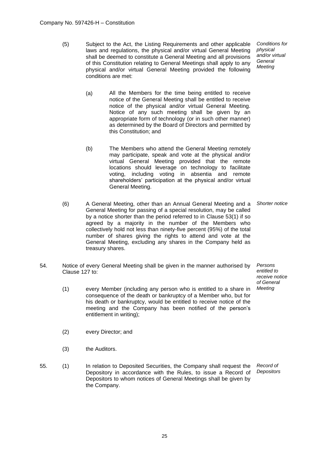(5) Subject to the Act, the Listing Requirements and other applicable laws and regulations, the physical and/or virtual General Meeting shall be deemed to constitute a General Meeting and all provisions of this Constitution relating to General Meetings shall apply to any physical and/or virtual General Meeting provided the following conditions are met:

*Conditions for physical and/or virtual General Meeting*

- (a) All the Members for the time being entitled to receive notice of the General Meeting shall be entitled to receive notice of the physical and/or virtual General Meeting. Notice of any such meeting shall be given by an appropriate form of technology (or in such other manner) as determined by the Board of Directors and permitted by this Constitution; and
- (b) The Members who attend the General Meeting remotely may participate, speak and vote at the physical and/or virtual General Meeting provided that the remote locations should leverage on technology to facilitate voting, including voting in absentia and remote shareholders' participation at the physical and/or virtual General Meeting.
- (6) A General Meeting, other than an Annual General Meeting and a General Meeting for passing of a special resolution, may be called by a notice shorter than the period referred to in Clause 53(1) if so agreed by a majority in the number of the Members who collectively hold not less than ninety-five percent (95%) of the total number of shares giving the rights to attend and vote at the General Meeting, excluding any shares in the Company held as treasury shares. *Shorter notice*
- 54. Notice of every General Meeting shall be given in the manner authorised by Clause 127 to:
	- (1) every Member (including any person who is entitled to a share in consequence of the death or bankruptcy of a Member who, but for his death or bankruptcy, would be entitled to receive notice of the meeting and the Company has been notified of the person's entitlement in writing);
	- (2) every Director; and
	- (3) the Auditors.
- 55. (1) In relation to Deposited Securities, the Company shall request the Depository in accordance with the Rules, to issue a Record of Depositors to whom notices of General Meetings shall be given by the Company. *Record of Depositors*

*Persons entitled to receive notice of General*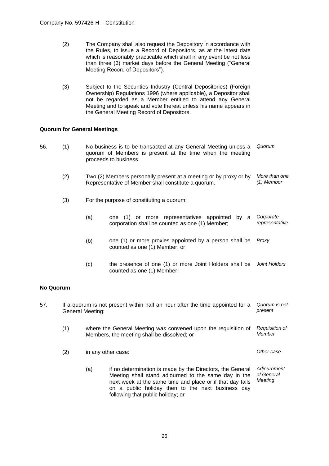- (2) The Company shall also request the Depository in accordance with the Rules, to issue a Record of Depositors, as at the latest date which is reasonably practicable which shall in any event be not less than three (3) market days before the General Meeting ("General Meeting Record of Depositors").
- (3) Subject to the Securities Industry (Central Depositories) (Foreign Ownership) Regulations 1996 (where applicable), a Depositor shall not be regarded as a Member entitled to attend any General Meeting and to speak and vote thereat unless his name appears in the General Meeting Record of Depositors.

# **Quorum for General Meetings**

- 56. (1) No business is to be transacted at any General Meeting unless a quorum of Members is present at the time when the meeting proceeds to business. *Quorum*
	- (2) Two (2) Members personally present at a meeting or by proxy or by Representative of Member shall constitute a quorum. *More than one (1) Member*
	- (3) For the purpose of constituting a quorum:
		- (a) one (1) or more representatives appointed by a corporation shall be counted as one (1) Member; *Corporate representative*
		- (b) one (1) or more proxies appointed by a person shall be counted as one (1) Member; or *Proxy*
		- (c) the presence of one (1) or more Joint Holders shall be *Joint Holders* counted as one (1) Member.

# **No Quorum**

| 57. |     | If a quorum is not present within half an hour after the time appointed for a<br>General Meeting: | Quorum is not<br>present                                                                                                                                                                                                                                                 |                                      |
|-----|-----|---------------------------------------------------------------------------------------------------|--------------------------------------------------------------------------------------------------------------------------------------------------------------------------------------------------------------------------------------------------------------------------|--------------------------------------|
|     | (1) |                                                                                                   | where the General Meeting was convened upon the requisition of<br>Members, the meeting shall be dissolved; or                                                                                                                                                            | Requisition of<br>Member             |
|     | (2) |                                                                                                   | in any other case:                                                                                                                                                                                                                                                       | Other case                           |
|     |     | (a)                                                                                               | if no determination is made by the Directors, the General<br>Meeting shall stand adjourned to the same day in the<br>next week at the same time and place or if that day falls<br>on a public holiday then to the next business day<br>following that public holiday; or | Adjournment<br>of General<br>Meeting |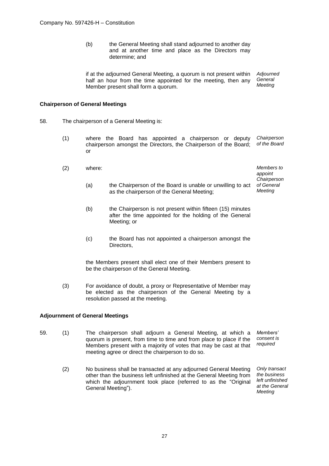(b) the General Meeting shall stand adjourned to another day and at another time and place as the Directors may determine; and

if at the adjourned General Meeting, a quorum is not present within half an hour from the time appointed for the meeting, then any Member present shall form a quorum. *Adjourned General Meeting*

# **Chairperson of General Meetings**

- 58. The chairperson of a General Meeting is:
	- (1) where the Board has appointed a chairperson or deputy chairperson amongst the Directors, the Chairperson of the Board; or *Chairperson of the Board*
	- (2) where: *Members to appoint Chairperson of General Meeting* (a) the Chairperson of the Board is unable or unwilling to act as the chairperson of the General Meeting;
		- (b) the Chairperson is not present within fifteen (15) minutes after the time appointed for the holding of the General Meeting; or
		- (c) the Board has not appointed a chairperson amongst the Directors,

the Members present shall elect one of their Members present to be the chairperson of the General Meeting.

(3) For avoidance of doubt, a proxy or Representative of Member may be elected as the chairperson of the General Meeting by a resolution passed at the meeting.

# **Adjournment of General Meetings**

- 59. (1) The chairperson shall adjourn a General Meeting, at which a quorum is present, from time to time and from place to place if the Members present with a majority of votes that may be cast at that meeting agree or direct the chairperson to do so. *Members' consent is required*
	- (2) No business shall be transacted at any adjourned General Meeting other than the business left unfinished at the General Meeting from which the adjournment took place (referred to as the "Original General Meeting").

*Only transact the business left unfinished at the General Meeting*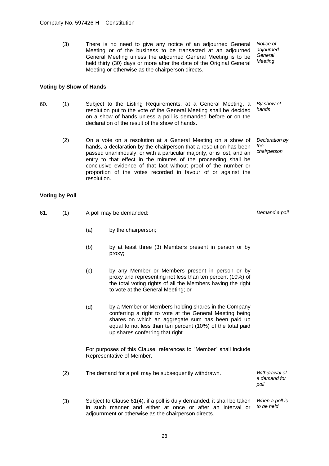(3) There is no need to give any notice of an adjourned General Meeting or of the business to be transacted at an adjourned General Meeting unless the adjourned General Meeting is to be held thirty (30) days or more after the date of the Original General Meeting or otherwise as the chairperson directs. *Notice of adjourned General Meeting*

# **Voting by Show of Hands**

- 60. (1) Subject to the Listing Requirements, at a General Meeting, a resolution put to the vote of the General Meeting shall be decided on a show of hands unless a poll is demanded before or on the declaration of the result of the show of hands. *By show of hands*
	- (2) On a vote on a resolution at a General Meeting on a show of hands, a declaration by the chairperson that a resolution has been passed unanimously, or with a particular majority, or is lost, and an entry to that effect in the minutes of the proceeding shall be conclusive evidence of that fact without proof of the number or proportion of the votes recorded in favour of or against the resolution. *Declaration by the chairperson*

# **Voting by Poll**

61. (1) A poll may be demanded: *Demand a poll*

- (a) by the chairperson;
- (b) by at least three (3) Members present in person or by proxy;
- (c) by any Member or Members present in person or by proxy and representing not less than ten percent (10%) of the total voting rights of all the Members having the right to vote at the General Meeting; or
- (d) by a Member or Members holding shares in the Company conferring a right to vote at the General Meeting being shares on which an aggregate sum has been paid up equal to not less than ten percent (10%) of the total paid up shares conferring that right.

For purposes of this Clause, references to "Member" shall include Representative of Member.

(2) The demand for a poll may be subsequently withdrawn. *Withdrawal of a demand for poll* (3) Subject to Clause 61(4), if a poll is duly demanded, it shall be taken in such manner and either at once or after an interval or adjournment or otherwise as the chairperson directs. *When a poll is to be held*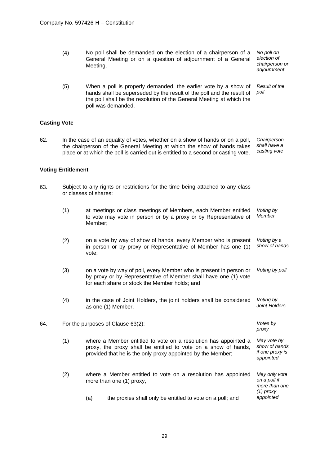(4) No poll shall be demanded on the election of a chairperson of a General Meeting or on a question of adjournment of a General Meeting.

*No poll on election of chairperson or adjournment*

*proxy*

*(1) proxy*

(5) When a poll is properly demanded, the earlier vote by a show of hands shall be superseded by the result of the poll and the result of the poll shall be the resolution of the General Meeting at which the poll was demanded. *Result of the poll*

# **Casting Vote**

62. In the case of an equality of votes, whether on a show of hands or on a poll, the chairperson of the General Meeting at which the show of hands takes place or at which the poll is carried out is entitled to a second or casting vote. *Chairperson shall have a casting vote*

## **Voting Entitlement**

- 63. Subject to any rights or restrictions for the time being attached to any class or classes of shares:
	- (1) at meetings or class meetings of Members, each Member entitled to vote may vote in person or by a proxy or by Representative of Member; *Voting by Member* (2) on a vote by way of show of hands, every Member who is present in person or by proxy or Representative of Member has one (1) vote; *Voting by a show of hands* (3) on a vote by way of poll, every Member who is present in person or by proxy or by Representative of Member shall have one (1) vote for each share or stock the Member holds; and *Voting by poll* (4) in the case of Joint Holders, the joint holders shall be considered as one (1) Member. *Voting by Joint Holders*

64. For the purposes of Clause 63(2): *Votes by* 

- (1) where a Member entitled to vote on a resolution has appointed a proxy, the proxy shall be entitled to vote on a show of hands, provided that he is the only proxy appointed by the Member; *May vote by show of hands if one proxy is appointed*
- (2) where a Member entitled to vote on a resolution has appointed more than one (1) proxy, *May only vote on a poll if more than one* 
	- (a) the proxies shall only be entitled to vote on a poll; and *appointed*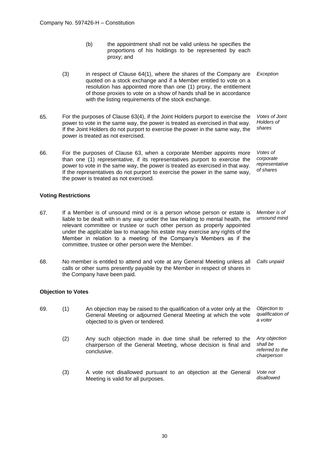- (b) the appointment shall not be valid unless he specifies the proportions of his holdings to be represented by each proxy; and
- (3) in respect of Clause 64(1), where the shares of the Company are quoted on a stock exchange and if a Member entitled to vote on a resolution has appointed more than one (1) proxy, the entitlement of those proxies to vote on a show of hands shall be in accordance with the listing requirements of the stock exchange. *Exception*
- 65. For the purposes of Clause 63(4), if the Joint Holders purport to exercise the power to vote in the same way, the power is treated as exercised in that way. If the Joint Holders do not purport to exercise the power in the same way, the power is treated as not exercised. *Votes of Joint Holders of shares*
- 66. For the purposes of Clause 63, when a corporate Member appoints more than one (1) representative, if its representatives purport to exercise the power to vote in the same way, the power is treated as exercised in that way. If the representatives do not purport to exercise the power in the same way, the power is treated as not exercised. *Votes of corporate representative of shares*

## **Voting Restrictions**

- 67. If a Member is of unsound mind or is a person whose person or estate is liable to be dealt with in any way under the law relating to mental health, the relevant committee or trustee or such other person as properly appointed under the applicable law to manage his estate may exercise any rights of the Member in relation to a meeting of the Company's Members as if the committee, trustee or other person were the Member. *Member is of unsound mind*
- 68. No member is entitled to attend and vote at any General Meeting unless all calls or other sums presently payable by the Member in respect of shares in the Company have been paid. *Calls unpaid*

## **Objection to Votes**

69. (1) An objection may be raised to the qualification of a voter only at the General Meeting or adjourned General Meeting at which the vote objected to is given or tendered. *Objection to qualification of a voter* (2) Any such objection made in due time shall be referred to the chairperson of the General Meeting, whose decision is final and conclusive. *Any objection shall be referred to the chairperson* (3) A vote not disallowed pursuant to an objection at the General Meeting is valid for all purposes. *Vote not disallowed*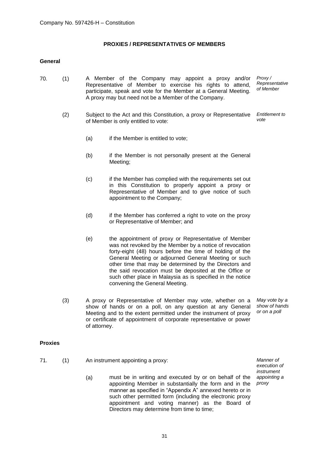# **PROXIES / REPRESENTATIVES OF MEMBERS**

# **General**

- 70. (1) A Member of the Company may appoint a proxy and/or Representative of Member to exercise his rights to attend, participate, speak and vote for the Member at a General Meeting. A proxy may but need not be a Member of the Company. *Proxy / Representative of Member*
	- (2) Subject to the Act and this Constitution, a proxy or Representative of Member is only entitled to vote: *Entitlement to vote*
		- (a) if the Member is entitled to vote:
		- (b) if the Member is not personally present at the General Meeting;
		- (c) if the Member has complied with the requirements set out in this Constitution to properly appoint a proxy or Representative of Member and to give notice of such appointment to the Company;
		- (d) if the Member has conferred a right to vote on the proxy or Representative of Member; and
		- (e) the appointment of proxy or Representative of Member was not revoked by the Member by a notice of revocation forty-eight (48) hours before the time of holding of the General Meeting or adjourned General Meeting or such other time that may be determined by the Directors and the said revocation must be deposited at the Office or such other place in Malaysia as is specified in the notice convening the General Meeting.
	- (3) A proxy or Representative of Member may vote, whether on a show of hands or on a poll, on any question at any General Meeting and to the extent permitted under the instrument of proxy or certificate of appointment of corporate representative or power of attorney.

*May vote by a show of hands or on a poll*

## **Proxies**

- 71. (1) An instrument appointing a proxy: *Manner of* 
	- (a) must be in writing and executed by or on behalf of the appointing Member in substantially the form and in the manner as specified in "Appendix A" annexed hereto or in such other permitted form (including the electronic proxy appointment and voting manner) as the Board of Directors may determine from time to time;

*execution of instrument appointing a proxy*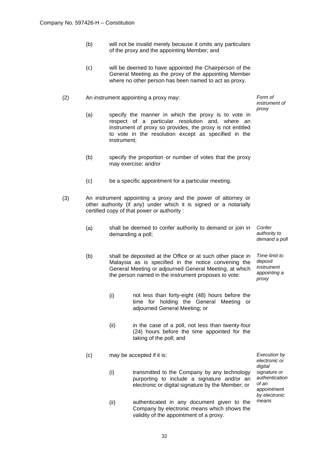- (b) will not be invalid merely because it omits any particulars of the proxy and the appointing Member; and
- (c) will be deemed to have appointed the Chairperson of the General Meeting as the proxy of the appointing Member where no other person has been named to act as proxy.
- (2) An instrument appointing a proxy may: *Form of* 
	- (a) specify the manner in which the proxy is to vote in respect of a particular resolution and, where an instrument of proxy so provides, the proxy is not entitled to vote in the resolution except as specified in the instrument;
	- (b) specify the proportion or number of votes that the proxy may exercise; and/or
	- (c) be a specific appointment for a particular meeting.
- (3) An instrument appointing a proxy and the power of attorney or other authority (if any) under which it is signed or a notarially certified copy of that power or authority :
	- (a) shall be deemed to confer authority to demand or join in demanding a poll; *Confer authority to*
	- (b) shall be deposited at the Office or at such other place in Malaysia as is specified in the notice convening the General Meeting or adjourned General Meeting, at which the person named in the instrument proposes to vote:
		- (i) not less than forty-eight (48) hours before the time for holding the General Meeting or adjourned General Meeting; or
		- (ii) in the case of a poll, not less than twenty-four (24) hours before the time appointed for the taking of the poll; and
	- (c) may be accepted if it is: *Execution by* 
		- (i) transmitted to the Company by any technology purporting to include a signature and/or an electronic or digital signature by the Member; or
		- (ii) authenticated in any document given to the Company by electronic means which shows the validity of the appointment of a proxy.

*instrument of proxy*

*demand a poll Time limit to* 

*deposit instrument appointing a proxy*

*digital signature or authentication of an appointment by electronic means*

*electronic or*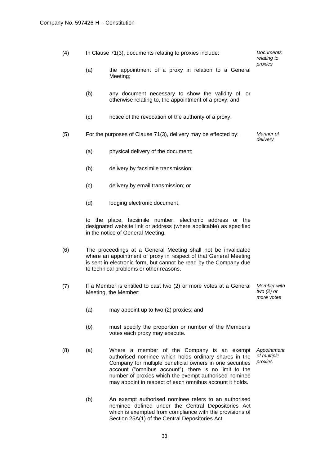| (4) | In Clause 71(3), documents relating to proxies include: |                                                                                                                                                                                                                                                                                                                                               | Documents<br>relating to                  |
|-----|---------------------------------------------------------|-----------------------------------------------------------------------------------------------------------------------------------------------------------------------------------------------------------------------------------------------------------------------------------------------------------------------------------------------|-------------------------------------------|
|     | (a)                                                     | the appointment of a proxy in relation to a General<br>Meeting;                                                                                                                                                                                                                                                                               | proxies                                   |
|     | (b)                                                     | any document necessary to show the validity of, or<br>otherwise relating to, the appointment of a proxy; and                                                                                                                                                                                                                                  |                                           |
|     | (c)                                                     | notice of the revocation of the authority of a proxy.                                                                                                                                                                                                                                                                                         |                                           |
| (5) |                                                         | For the purposes of Clause 71(3), delivery may be effected by:                                                                                                                                                                                                                                                                                | Manner of<br>delivery                     |
|     | (a)                                                     | physical delivery of the document;                                                                                                                                                                                                                                                                                                            |                                           |
|     | (b)                                                     | delivery by facsimile transmission;                                                                                                                                                                                                                                                                                                           |                                           |
|     | (c)                                                     | delivery by email transmission; or                                                                                                                                                                                                                                                                                                            |                                           |
|     | (d)                                                     | lodging electronic document,                                                                                                                                                                                                                                                                                                                  |                                           |
|     |                                                         | to the place, facsimile number, electronic address or the<br>designated website link or address (where applicable) as specified<br>in the notice of General Meeting.                                                                                                                                                                          |                                           |
| (6) |                                                         | The proceedings at a General Meeting shall not be invalidated<br>where an appointment of proxy in respect of that General Meeting<br>is sent in electronic form, but cannot be read by the Company due<br>to technical problems or other reasons.                                                                                             |                                           |
| (7) |                                                         | If a Member is entitled to cast two (2) or more votes at a General<br>Meeting, the Member:                                                                                                                                                                                                                                                    | Member with<br>two $(2)$ or<br>more votes |
|     | (a)                                                     | may appoint up to two (2) proxies; and                                                                                                                                                                                                                                                                                                        |                                           |
|     | (b)                                                     | must specify the proportion or number of the Member's<br>votes each proxy may execute.                                                                                                                                                                                                                                                        |                                           |
| (8) | (a)                                                     | Where a member of the Company is an exempt<br>authorised nominee which holds ordinary shares in the<br>Company for multiple beneficial owners in one securities<br>account ("omnibus account"), there is no limit to the<br>number of proxies which the exempt authorised nominee<br>may appoint in respect of each omnibus account it holds. | Appointment<br>of multiple<br>proxies     |
|     | (b)                                                     | An exempt authorised nominee refers to an authorised<br>nominee defined under the Central Depositories Act<br>which is exempted from compliance with the provisions of<br>Section 25A(1) of the Central Depositories Act.                                                                                                                     |                                           |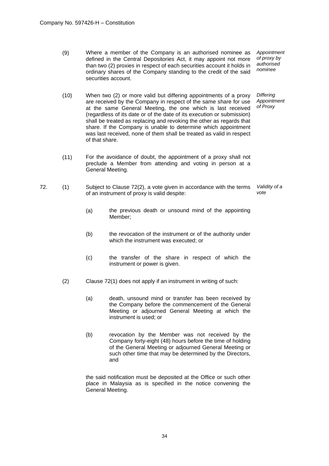(9) Where a member of the Company is an authorised nominee as defined in the Central Depositories Act, it may appoint not more than two (2) proxies in respect of each securities account it holds in ordinary shares of the Company standing to the credit of the said securities account.

*Appointment of proxy by authorised nominee*

(10) When two (2) or more valid but differing appointments of a proxy are received by the Company in respect of the same share for use at the same General Meeting, the one which is last received (regardless of its date or of the date of its execution or submission) shall be treated as replacing and revoking the other as regards that share. If the Company is unable to determine which appointment was last received, none of them shall be treated as valid in respect of that share. *Differing Appointment of Proxy*

- (11) For the avoidance of doubt, the appointment of a proxy shall not preclude a Member from attending and voting in person at a General Meeting.
- 72. (1) Subject to Clause 72(2), a vote given in accordance with the terms of an instrument of proxy is valid despite: *Validity of a vote*
	- (a) the previous death or unsound mind of the appointing Member;
	- (b) the revocation of the instrument or of the authority under which the instrument was executed; or
	- (c) the transfer of the share in respect of which the instrument or power is given.
	- (2) Clause 72(1) does not apply if an instrument in writing of such:
		- (a) death, unsound mind or transfer has been received by the Company before the commencement of the General Meeting or adjourned General Meeting at which the instrument is used; or
		- (b) revocation by the Member was not received by the Company forty-eight (48) hours before the time of holding of the General Meeting or adjourned General Meeting or such other time that may be determined by the Directors, and

the said notification must be deposited at the Office or such other place in Malaysia as is specified in the notice convening the General Meeting.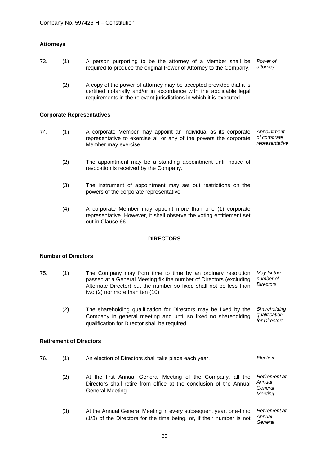# **Attorneys**

- 73. (1) A person purporting to be the attorney of a Member shall be required to produce the original Power of Attorney to the Company. *Power of attorney*
	- (2) A copy of the power of attorney may be accepted provided that it is certified notarially and/or in accordance with the applicable legal requirements in the relevant jurisdictions in which it is executed.

#### **Corporate Representatives**

- 74. (1) A corporate Member may appoint an individual as its corporate representative to exercise all or any of the powers the corporate Member may exercise. *Appointment of corporate representative*
	- (2) The appointment may be a standing appointment until notice of revocation is received by the Company.
	- (3) The instrument of appointment may set out restrictions on the powers of the corporate representative.
	- (4) A corporate Member may appoint more than one (1) corporate representative. However, it shall observe the voting entitlement set out in Clause 66.

## **DIRECTORS**

# **Number of Directors**

- 75. (1) The Company may from time to time by an ordinary resolution passed at a General Meeting fix the number of Directors (excluding Alternate Director) but the number so fixed shall not be less than two (2) nor more than ten (10). *May fix the number of Directors*
	- (2) The shareholding qualification for Directors may be fixed by the Company in general meeting and until so fixed no shareholding qualification for Director shall be required. *Shareholding qualification for Directors*

#### **Retirement of Directors**

- 76. (1) An election of Directors shall take place each year. *Election*  (2) At the first Annual General Meeting of the Company, all the Directors shall retire from office at the conclusion of the Annual General Meeting. *Retirement at Annual General Meeting*
	- (3) At the Annual General Meeting in every subsequent year, one-third (1/3) of the Directors for the time being, or, if their number is not *Retirement at Annual General*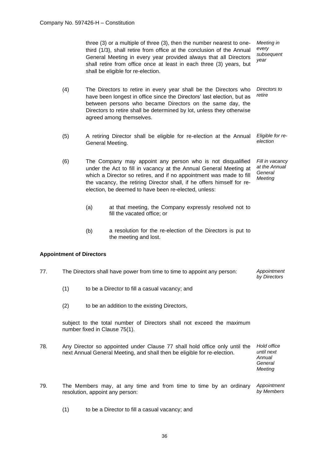three (3) or a multiple of three (3), then the number nearest to onethird (1/3), shall retire from office at the conclusion of the Annual General Meeting in every year provided always that all Directors shall retire from office once at least in each three (3) years, but shall be eligible for re-election. *Meeting in every subsequent year*

- (4) The Directors to retire in every year shall be the Directors who have been longest in office since the Directors' last election, but as between persons who became Directors on the same day, the Directors to retire shall be determined by lot, unless they otherwise agreed among themselves. *Directors to retire*
- (5) A retiring Director shall be eligible for re-election at the Annual General Meeting. *Eligible for reelection*
- (6) The Company may appoint any person who is not disqualified under the Act to fill in vacancy at the Annual General Meeting at which a Director so retires, and if no appointment was made to fill the vacancy, the retiring Director shall, if he offers himself for reelection, be deemed to have been re-elected, unless: *Fill in vacancy at the Annual General Meeting*
	- (a) at that meeting, the Company expressly resolved not to fill the vacated office; or
	- (b) a resolution for the re-election of the Directors is put to the meeting and lost.

# **Appointment of Directors**

- 77. The Directors shall have power from time to time to appoint any person: *Appointment by Directors*
	- (1) to be a Director to fill a casual vacancy; and
	- (2) to be an addition to the existing Directors,

subject to the total number of Directors shall not exceed the maximum number fixed in Clause 75(1).

78. Any Director so appointed under Clause 77 shall hold office only until the next Annual General Meeting, and shall then be eligible for re-election. *Hold office* 

*until next Annual General Meeting*

- 79. The Members may, at any time and from time to time by an ordinary resolution, appoint any person: *Appointment by Members*
	- (1) to be a Director to fill a casual vacancy; and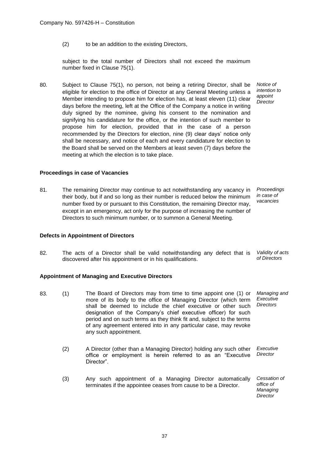(2) to be an addition to the existing Directors,

subject to the total number of Directors shall not exceed the maximum number fixed in Clause 75(1).

80. Subject to Clause 75(1), no person, not being a retiring Director, shall be eligible for election to the office of Director at any General Meeting unless a Member intending to propose him for election has, at least eleven (11) clear days before the meeting, left at the Office of the Company a notice in writing duly signed by the nominee, giving his consent to the nomination and signifying his candidature for the office, or the intention of such member to propose him for election, provided that in the case of a person recommended by the Directors for election, nine (9) clear days' notice only shall be necessary, and notice of each and every candidature for election to the Board shall be served on the Members at least seven (7) days before the meeting at which the election is to take place.

# **Proceedings in case of Vacancies**

81. The remaining Director may continue to act notwithstanding any vacancy in their body, but if and so long as their number is reduced below the minimum number fixed by or pursuant to this Constitution, the remaining Director may, except in an emergency, act only for the purpose of increasing the number of Directors to such minimum number, or to summon a General Meeting.

*Proceedings in case of vacancies*

*Notice of intention to appoint Director*

# **Defects in Appointment of Directors**

82. The acts of a Director shall be valid notwithstanding any defect that is discovered after his appointment or in his qualifications. *Validity of acts of Directors*

## **Appointment of Managing and Executive Directors**

- 83. (1) The Board of Directors may from time to time appoint one (1) or more of its body to the office of Managing Director (which term shall be deemed to include the chief executive or other such designation of the Company's chief executive officer) for such period and on such terms as they think fit and, subject to the terms of any agreement entered into in any particular case, may revoke any such appointment. *Managing and Executive Directors*
	- (2) A Director (other than a Managing Director) holding any such other office or employment is herein referred to as an "Executive Director". *Executive Director*
	- (3) Any such appointment of a Managing Director automatically terminates if the appointee ceases from cause to be a Director. *Cessation of*

*office of Managing Director*

37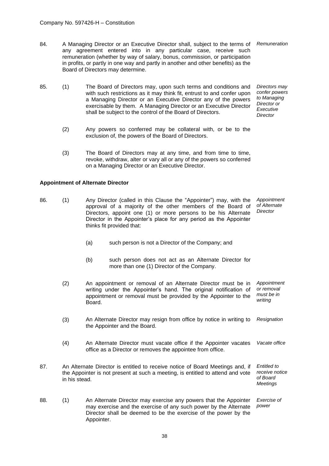84. A Managing Director or an Executive Director shall, subject to the terms of *Remuneration* any agreement entered into in any particular case, receive such remuneration (whether by way of salary, bonus, commission, or participation in profits, or partly in one way and partly in another and other benefits) as the Board of Directors may determine.

> *Directors may confer powers to Managing Director or Executive Director*

- 85. (1) The Board of Directors may, upon such terms and conditions and with such restrictions as it may think fit, entrust to and confer upon a Managing Director or an Executive Director any of the powers exercisable by them. A Managing Director or an Executive Director shall be subject to the control of the Board of Directors.
	- (2) Any powers so conferred may be collateral with, or be to the exclusion of, the powers of the Board of Directors.
	- (3) The Board of Directors may at any time, and from time to time, revoke, withdraw, alter or vary all or any of the powers so conferred on a Managing Director or an Executive Director.

## **Appointment of Alternate Director**

- 86. (1) Any Director (called in this Clause the "Appointer") may, with the approval of a majority of the other members of the Board of Directors, appoint one (1) or more persons to be his Alternate Director in the Appointer's place for any period as the Appointer thinks fit provided that: *Appointment of Alternate Director*
	- (a) such person is not a Director of the Company; and
	- (b) such person does not act as an Alternate Director for more than one (1) Director of the Company.
	- (2) An appointment or removal of an Alternate Director must be in writing under the Appointer's hand. The original notification of appointment or removal must be provided by the Appointer to the Board. *Appointment or removal must be in writing*
	- (3) An Alternate Director may resign from office by notice in writing to the Appointer and the Board. *Resignation*
	- (4) An Alternate Director must vacate office if the Appointer vacates office as a Director or removes the appointee from office. *Vacate office*
- 87. An Alternate Director is entitled to receive notice of Board Meetings and, if the Appointer is not present at such a meeting, is entitled to attend and vote in his stead. *Entitled to receive notice of Board Meetings*
- 88. (1) An Alternate Director may exercise any powers that the Appointer may exercise and the exercise of any such power by the Alternate Director shall be deemed to be the exercise of the power by the Appointer. *Exercise of power*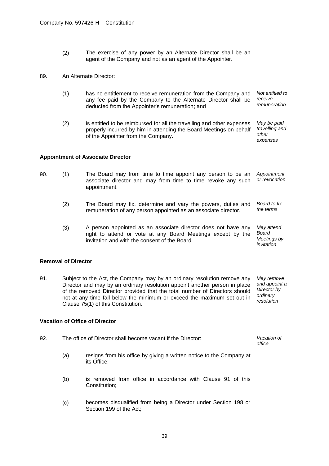(2) The exercise of any power by an Alternate Director shall be an agent of the Company and not as an agent of the Appointer.

# 89. An Alternate Director:

- (1) has no entitlement to receive remuneration from the Company and any fee paid by the Company to the Alternate Director shall be deducted from the Appointer's remuneration; and *Not entitled to receive remuneration*
- (2) is entitled to be reimbursed for all the travelling and other expenses properly incurred by him in attending the Board Meetings on behalf of the Appointer from the Company. *May be paid travelling and other expenses*

# **Appointment of Associate Director**

- 90. (1) The Board may from time to time appoint any person to be an associate director and may from time to time revoke any such appointment. *Appointment or revocation*
	- (2) The Board may fix, determine and vary the powers, duties and remuneration of any person appointed as an associate director. *Board to fix the terms*
	- (3) A person appointed as an associate director does not have any right to attend or vote at any Board Meetings except by the invitation and with the consent of the Board. *May attend Board Meetings by invitation*

## **Removal of Director**

91. Subject to the Act, the Company may by an ordinary resolution remove any Director and may by an ordinary resolution appoint another person in place of the removed Director provided that the total number of Directors should not at any time fall below the minimum or exceed the maximum set out in Clause 75(1) of this Constitution. *May remove and appoint a Director by ordinary resolution*

## **Vacation of Office of Director**

| -92. | The office of Director shall become vacant if the Director: | Vacation of |
|------|-------------------------------------------------------------|-------------|
|      |                                                             | office      |

- (a) resigns from his office by giving a written notice to the Company at its Office;
- (b) is removed from office in accordance with Clause 91 of this Constitution;
- (c) becomes disqualified from being a Director under Section 198 or Section 199 of the Act;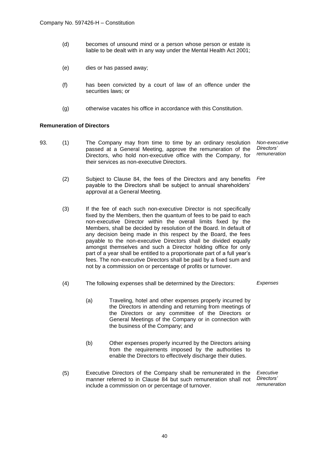- (d) becomes of unsound mind or a person whose person or estate is liable to be dealt with in any way under the Mental Health Act 2001;
- (e) dies or has passed away;
- (f) has been convicted by a court of law of an offence under the securities laws; or
- (g) otherwise vacates his office in accordance with this Constitution.

# **Remuneration of Directors**

- 93. (1) The Company may from time to time by an ordinary resolution passed at a General Meeting, approve the remuneration of the Directors, who hold non-executive office with the Company, for their services as non-executive Directors. *Non-executive Directors' remuneration*
	- (2) Subject to Clause 84, the fees of the Directors and any benefits payable to the Directors shall be subject to annual shareholders' approval at a General Meeting. *Fee*
	- (3) If the fee of each such non-executive Director is not specifically fixed by the Members, then the quantum of fees to be paid to each non-executive Director within the overall limits fixed by the Members, shall be decided by resolution of the Board. In default of any decision being made in this respect by the Board, the fees payable to the non-executive Directors shall be divided equally amongst themselves and such a Director holding office for only part of a year shall be entitled to a proportionate part of a full year's fees. The non-executive Directors shall be paid by a fixed sum and not by a commission on or percentage of profits or turnover.
	- (4) The following expenses shall be determined by the Directors: *Expenses*
		- (a) Traveling, hotel and other expenses properly incurred by the Directors in attending and returning from meetings of the Directors or any committee of the Directors or General Meetings of the Company or in connection with the business of the Company; and
		- (b) Other expenses properly incurred by the Directors arising from the requirements imposed by the authorities to enable the Directors to effectively discharge their duties.
	- (5) Executive Directors of the Company shall be remunerated in the manner referred to in Clause 84 but such remuneration shall not include a commission on or percentage of turnover. *Executive Directors' remuneration*

40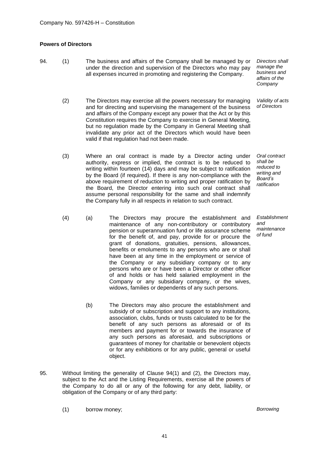# **Powers of Directors**

- 
- 94. (1) The business and affairs of the Company shall be managed by or under the direction and supervision of the Directors who may pay all expenses incurred in promoting and registering the Company.
	- (2) The Directors may exercise all the powers necessary for managing and for directing and supervising the management of the business and affairs of the Company except any power that the Act or by this Constitution requires the Company to exercise in General Meeting, but no regulation made by the Company in General Meeting shall invalidate any prior act of the Directors which would have been valid if that regulation had not been made.
	- (3) Where an oral contract is made by a Director acting under authority, express or implied, the contract is to be reduced to writing within fourteen (14) days and may be subject to ratification by the Board (if required). If there is any non-compliance with the above requirement of reduction to writing and proper ratification by the Board, the Director entering into such oral contract shall assume personal responsibility for the same and shall indemnify the Company fully in all respects in relation to such contract.
	- (4) (a) The Directors may procure the establishment and maintenance of any non-contributory or contributory pension or superannuation fund or life assurance scheme for the benefit of, and pay, provide for or procure the grant of donations, gratuities, pensions, allowances, benefits or emoluments to any persons who are or shall have been at any time in the employment or service of the Company or any subsidiary company or to any persons who are or have been a Director or other officer of and holds or has held salaried employment in the Company or any subsidiary company, or the wives, widows, families or dependents of any such persons.
		- (b) The Directors may also procure the establishment and subsidy of or subscription and support to any institutions, association, clubs, funds or trusts calculated to be for the benefit of any such persons as aforesaid or of its members and payment for or towards the insurance of any such persons as aforesaid, and subscriptions or guarantees of money for charitable or benevolent objects or for any exhibitions or for any public, general or useful object.
- 95. Without limiting the generality of Clause 94(1) and (2), the Directors may, subject to the Act and the Listing Requirements, exercise all the powers of the Company to do all or any of the following for any debt, liability, or obligation of the Company or of any third party:
	- (1) borrow money; *Borrowing*

*Establishment and maintenance of fund*

*Directors shall manage the business and affairs of the Company*

*Validity of acts of Directors*

*Oral contract shall be reduced to writing and Board's ratification*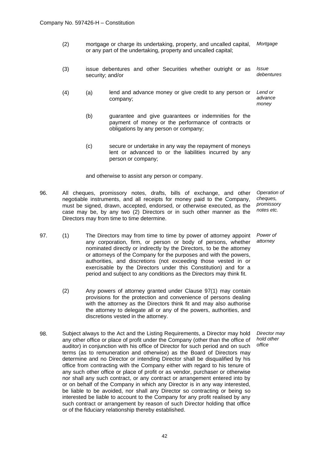- (2) mortgage or charge its undertaking, property, and uncalled capital, or any part of the undertaking, property and uncalled capital; *Mortgage*
- (3) issue debentures and other Securities whether outright or as security; and/or *Issue debentures*
- (4) (a) lend and advance money or give credit to any person or company; *Lend or advance money*
	- (b) guarantee and give guarantees or indemnities for the payment of money or the performance of contracts or obligations by any person or company;
	- (c) secure or undertake in any way the repayment of moneys lent or advanced to or the liabilities incurred by any person or company;

and otherwise to assist any person or company.

- 96. All cheques, promissory notes, drafts, bills of exchange, and other negotiable instruments, and all receipts for money paid to the Company, must be signed, drawn, accepted, endorsed, or otherwise executed, as the case may be, by any two (2) Directors or in such other manner as the Directors may from time to time determine. *Operation of cheques, promissory notes etc.*
- 97. (1) The Directors may from time to time by power of attorney appoint any corporation, firm, or person or body of persons, whether nominated directly or indirectly by the Directors, to be the attorney or attorneys of the Company for the purposes and with the powers, authorities, and discretions (not exceeding those vested in or exercisable by the Directors under this Constitution) and for a period and subject to any conditions as the Directors may think fit. *Power of attorney*
	- (2) Any powers of attorney granted under Clause 97(1) may contain provisions for the protection and convenience of persons dealing with the attorney as the Directors think fit and may also authorise the attorney to delegate all or any of the powers, authorities, and discretions vested in the attorney.
- 98. Subject always to the Act and the Listing Requirements, a Director may hold any other office or place of profit under the Company (other than the office of auditor) in conjunction with his office of Director for such period and on such terms (as to remuneration and otherwise) as the Board of Directors may determine and no Director or intending Director shall be disqualified by his office from contracting with the Company either with regard to his tenure of any such other office or place of profit or as vendor, purchaser or otherwise nor shall any such contract, or any contract or arrangement entered into by or on behalf of the Company in which any Director is in any way interested, be liable to be avoided, nor shall any Director so contracting or being so interested be liable to account to the Company for any profit realised by any such contract or arrangement by reason of such Director holding that office or of the fiduciary relationship thereby established.

*Director may hold other office*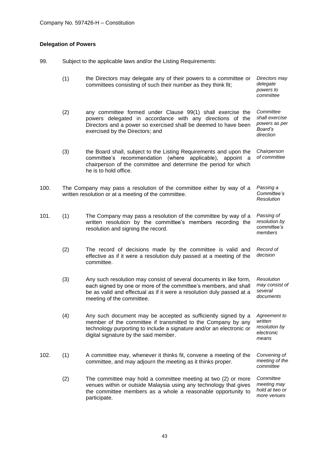# **Delegation of Powers**

99. Subject to the applicable laws and/or the Listing Requirements:

|      | (1) | the Directors may delegate any of their powers to a committee or<br>committees consisting of such their number as they think fit;                                                                                                              | Directors may<br>delegate<br>powers to<br>committee                  |
|------|-----|------------------------------------------------------------------------------------------------------------------------------------------------------------------------------------------------------------------------------------------------|----------------------------------------------------------------------|
|      | (2) | any committee formed under Clause 99(1) shall exercise the<br>powers delegated in accordance with any directions of the<br>Directors and a power so exercised shall be deemed to have been<br>exercised by the Directors; and                  | Committee<br>shall exercise<br>powers as per<br>Board's<br>direction |
|      | (3) | the Board shall, subject to the Listing Requirements and upon the<br>committee's recommendation (where applicable),<br>appoint a<br>chairperson of the committee and determine the period for which<br>he is to hold office.                   | Chairperson<br>of committee                                          |
| 100. |     | The Company may pass a resolution of the committee either by way of a<br>written resolution or at a meeting of the committee.                                                                                                                  | Passing a<br>Committee's<br>Resolution                               |
| 101. | (1) | The Company may pass a resolution of the committee by way of a<br>written resolution by the committee's members recording the<br>resolution and signing the record.                                                                            | Passing of<br>resolution by<br>committee's<br>members                |
|      | (2) | The record of decisions made by the committee is valid and<br>effective as if it were a resolution duly passed at a meeting of the<br>committee.                                                                                               | Record of<br>decision                                                |
|      | (3) | Any such resolution may consist of several documents in like form,<br>each signed by one or more of the committee's members, and shall<br>be as valid and effectual as if it were a resolution duly passed at a<br>meeting of the committee.   | Resolution<br>may consist of<br>several<br>documents                 |
|      | (4) | Any such document may be accepted as sufficiently signed by a<br>member of the committee if transmitted to the Company by any<br>technology purporting to include a signature and/or an electronic or<br>digital signature by the said member. | Agreement to<br>written<br>resolution by<br>electronic<br>means      |
| 102. | (1) | A committee may, whenever it thinks fit, convene a meeting of the<br>committee, and may adjourn the meeting as it thinks proper.                                                                                                               | Convening of<br>meeting of the<br>committee                          |
|      | (2) | The committee may hold a committee meeting at two (2) or more<br>venues within or outside Malaysia using any technology that gives<br>the committee members as a whole a reasonable opportunity to<br>participate.                             | Committee<br>meeting may<br>hold at two or<br>more venues            |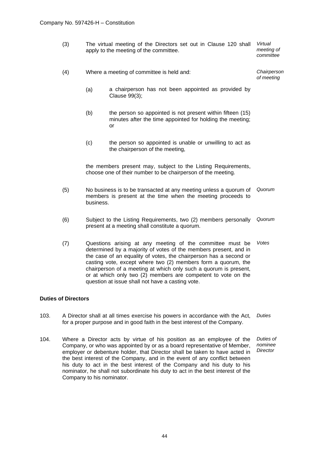- (3) The virtual meeting of the Directors set out in Clause 120 shall apply to the meeting of the committee. *Virtual meeting of committee*
- (4) Where a meeting of committee is held and: *Chairperson of meeting*
	- (a) a chairperson has not been appointed as provided by Clause 99(3);
	- (b) the person so appointed is not present within fifteen (15) minutes after the time appointed for holding the meeting; or
	- (c) the person so appointed is unable or unwilling to act as the chairperson of the meeting,

the members present may, subject to the Listing Requirements, choose one of their number to be chairperson of the meeting.

- (5) No business is to be transacted at any meeting unless a quorum of members is present at the time when the meeting proceeds to business. *Quorum*
- (6) Subject to the Listing Requirements, two (2) members personally present at a meeting shall constitute a quorum. *Quorum*
- (7) Questions arising at any meeting of the committee must be determined by a majority of votes of the members present, and in the case of an equality of votes, the chairperson has a second or casting vote, except where two (2) members form a quorum, the chairperson of a meeting at which only such a quorum is present, or at which only two (2) members are competent to vote on the question at issue shall not have a casting vote. *Votes*

## **Duties of Directors**

- 103. A Director shall at all times exercise his powers in accordance with the Act, for a proper purpose and in good faith in the best interest of the Company. *Duties*
- 104. Where a Director acts by virtue of his position as an employee of the Company, or who was appointed by or as a board representative of Member, employer or debenture holder, that Director shall be taken to have acted in the best interest of the Company, and in the event of any conflict between his duty to act in the best interest of the Company and his duty to his nominator, he shall not subordinate his duty to act in the best interest of the Company to his nominator. *Duties of nominee Director*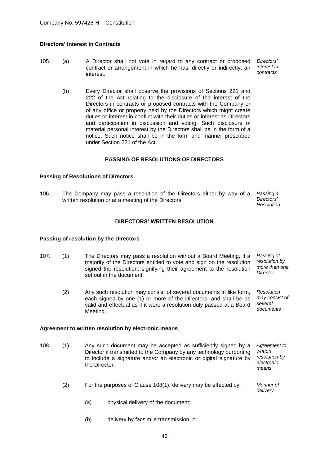# **Directors' Interest in Contracts**

- 105. (a) A Director shall not vote in regard to any contract or proposed contract or arrangement in which he has, directly or indirectly, an interest. *Directors' interest in contracts*
	- (b) Every Director shall observe the provisions of Sections 221 and 222 of the Act relating to the disclosure of the interest of the Directors in contracts or proposed contracts with the Company or of any office or property held by the Directors which might create duties or interest in conflict with their duties or interest as Directors and participation in discussion and voting. Such disclosure of material personal interest by the Directors shall be in the form of a notice. Such notice shall be in the form and manner prescribed under Section 221 of the Act.

# **PASSING OF RESOLUTIONS OF DIRECTORS**

## **Passing of Resolutions of Directors**

106. The Company may pass a resolution of the Directors either by way of a written resolution or at a meeting of the Directors. *Passing a Directors'* 

*Resolution*

# **DIRECTORS' WRITTEN RESOLUTION**

## **Passing of resolution by the Directors**

- 107. (1) The Directors may pass a resolution without a Board Meeting, if a majority of the Directors entitled to vote and sign on the resolution signed the resolution, signifying their agreement to the resolution set out in the document. *Passing of resolution by more than one Director*
	- (2) Any such resolution may consist of several documents in like form, each signed by one (1) or more of the Directors, and shall be as valid and effectual as if it were a resolution duly passed at a Board Meeting. *Resolution may consist of several documents*

## **Agreement to written resolution by electronic means**

- 108. (1) Any such document may be accepted as sufficiently signed by a Director if transmitted to the Company by any technology purporting to include a signature and/or an electronic or digital signature by the Director. *Agreement to written resolution by electronic means*
	- (2) For the purposes of Clause 108(1), delivery may be effected by: *Manner of delivery*
		- (a) physical delivery of the document;
		- (b) delivery by facsimile transmission; or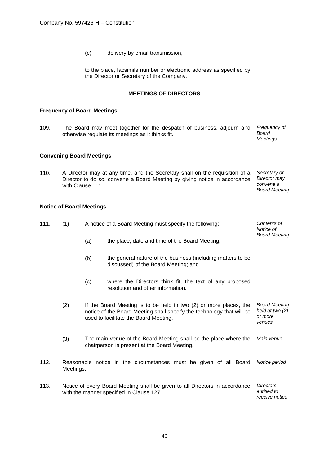(c) delivery by email transmission,

to the place, facsimile number or electronic address as specified by the Director or Secretary of the Company.

# **MEETINGS OF DIRECTORS**

# **Frequency of Board Meetings**

109. The Board may meet together for the despatch of business, adjourn and otherwise regulate its meetings as it thinks fit. *Frequency of Board Meetings*

# **Convening Board Meetings**

110. A Director may at any time, and the Secretary shall on the requisition of a *Secretary or*  Director to do so, convene a Board Meeting by giving notice in accordance *Director may*  with Clause 111. *convene a Board Meeting*

# **Notice of Board Meetings**

| 111. | (1)                                                                                                                     | A notice of a Board Meeting must specify the following: |                                                                                                                                                                                     | Contents of<br>Notice of                                     |
|------|-------------------------------------------------------------------------------------------------------------------------|---------------------------------------------------------|-------------------------------------------------------------------------------------------------------------------------------------------------------------------------------------|--------------------------------------------------------------|
|      |                                                                                                                         | (a)                                                     | the place, date and time of the Board Meeting;                                                                                                                                      | <b>Board Meeting</b>                                         |
|      |                                                                                                                         | (b)                                                     | the general nature of the business (including matters to be<br>discussed) of the Board Meeting; and                                                                                 |                                                              |
|      |                                                                                                                         | (c)                                                     | where the Directors think fit, the text of any proposed<br>resolution and other information.                                                                                        |                                                              |
|      | (2)                                                                                                                     |                                                         | If the Board Meeting is to be held in two (2) or more places, the<br>notice of the Board Meeting shall specify the technology that will be<br>used to facilitate the Board Meeting. | <b>Board Meeting</b><br>held at two (2)<br>or more<br>venues |
|      | (3)                                                                                                                     |                                                         | The main venue of the Board Meeting shall be the place where the<br>chairperson is present at the Board Meeting.                                                                    | Main venue                                                   |
| 112. | Meetings.                                                                                                               |                                                         | Reasonable notice in the circumstances must be given of all Board                                                                                                                   | Notice period                                                |
| 113. | Notice of every Board Meeting shall be given to all Directors in accordance<br>with the manner specified in Clause 127. |                                                         |                                                                                                                                                                                     | <b>Directors</b><br>entitled to<br>receive notice            |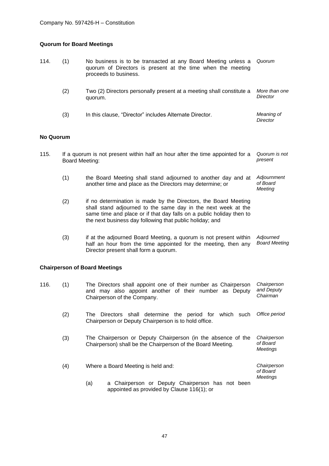# **Quorum for Board Meetings**

| 114.      | (1)                   | No business is to be transacted at any Board Meeting unless a<br>quorum of Directors is present at the time when the meeting<br>proceeds to business.                                                                                                                | Quorum                                     |
|-----------|-----------------------|----------------------------------------------------------------------------------------------------------------------------------------------------------------------------------------------------------------------------------------------------------------------|--------------------------------------------|
|           | (2)                   | Two (2) Directors personally present at a meeting shall constitute a<br>quorum.                                                                                                                                                                                      | More than one<br>Director                  |
|           | (3)                   | In this clause, "Director" includes Alternate Director.                                                                                                                                                                                                              | Meaning of<br>Director                     |
| No Quorum |                       |                                                                                                                                                                                                                                                                      |                                            |
| 115.      | <b>Board Meeting:</b> | If a quorum is not present within half an hour after the time appointed for a                                                                                                                                                                                        | Quorum is not<br>present                   |
|           | (1)                   | the Board Meeting shall stand adjourned to another day and at<br>another time and place as the Directors may determine; or                                                                                                                                           | Adjournment<br>of Board<br>Meeting         |
|           | (2)                   | if no determination is made by the Directors, the Board Meeting<br>shall stand adjourned to the same day in the next week at the<br>same time and place or if that day falls on a public holiday then to<br>the next business day following that public holiday; and |                                            |
|           | (3)                   | if at the adjourned Board Meeting, a quorum is not present within<br>half an hour from the time appointed for the meeting, then any<br>Director present shall form a quorum.                                                                                         | Adjourned<br><b>Board Meeting</b>          |
|           |                       | <b>Chairperson of Board Meetings</b>                                                                                                                                                                                                                                 |                                            |
| 116.      | (1)                   | The Directors shall appoint one of their number as Chairperson<br>and may also appoint another of their number as Deputy<br>Chairperson of the Company.                                                                                                              | Chairperson<br>and Deputy<br>Chairman      |
|           | (2)                   | The Directors shall determine the period for which such<br>Chairperson or Deputy Chairperson is to hold office.                                                                                                                                                      | Office period                              |
|           | (3)                   | The Chairperson or Deputy Chairperson (in the absence of the<br>Chairperson) shall be the Chairperson of the Board Meeting.                                                                                                                                          | Chairperson<br>of Board<br><b>Meetings</b> |
|           | (4)                   | Where a Board Meeting is held and:                                                                                                                                                                                                                                   | Chairperson<br>of Board                    |
|           |                       | a Chairperson or Deputy Chairperson has not been<br>(a)<br>appointed as provided by Clause 116(1); or                                                                                                                                                                | <b>Meetings</b>                            |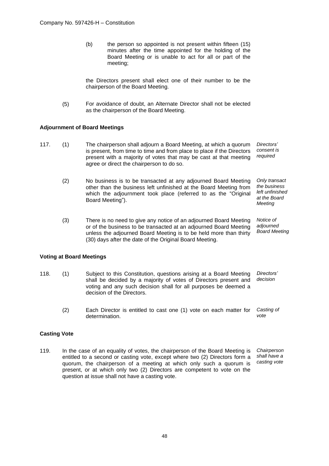(b) the person so appointed is not present within fifteen (15) minutes after the time appointed for the holding of the Board Meeting or is unable to act for all or part of the meeting;

the Directors present shall elect one of their number to be the chairperson of the Board Meeting.

(5) For avoidance of doubt, an Alternate Director shall not be elected as the chairperson of the Board Meeting.

# **Adjournment of Board Meetings**

- 117. (1) The chairperson shall adjourn a Board Meeting, at which a quorum is present, from time to time and from place to place if the Directors present with a majority of votes that may be cast at that meeting agree or direct the chairperson to do so. *Directors' consent is required*
	- (2) No business is to be transacted at any adjourned Board Meeting other than the business left unfinished at the Board Meeting from which the adjournment took place (referred to as the "Original Board Meeting"). *Only transact the business left unfinished at the Board Meeting*
	- (3) There is no need to give any notice of an adjourned Board Meeting or of the business to be transacted at an adjourned Board Meeting unless the adjourned Board Meeting is to be held more than thirty (30) days after the date of the Original Board Meeting. *Notice of adjourned Board Meeting*

## **Voting at Board Meetings**

- 118. (1) Subject to this Constitution, questions arising at a Board Meeting shall be decided by a majority of votes of Directors present and voting and any such decision shall for all purposes be deemed a decision of the Directors. *Directors' decision*
	- (2) Each Director is entitled to cast one (1) vote on each matter for determination. *Casting of vote*

## **Casting Vote**

119. In the case of an equality of votes, the chairperson of the Board Meeting is entitled to a second or casting vote, except where two (2) Directors form a quorum, the chairperson of a meeting at which only such a quorum is present, or at which only two (2) Directors are competent to vote on the question at issue shall not have a casting vote. *Chairperson shall have a casting vote*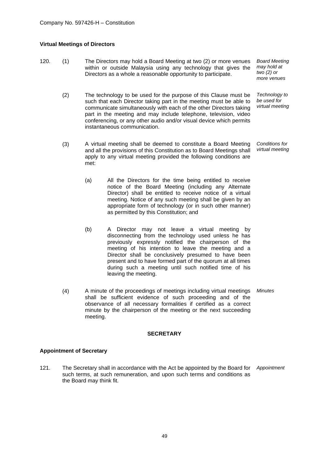# **Virtual Meetings of Directors**

120. (1) The Directors may hold a Board Meeting at two (2) or more venues within or outside Malaysia using any technology that gives the Directors as a whole a reasonable opportunity to participate. *Board Meeting may hold at two (2) or more venues*

(2) The technology to be used for the purpose of this Clause must be such that each Director taking part in the meeting must be able to communicate simultaneously with each of the other Directors taking part in the meeting and may include telephone, television, video conferencing, or any other audio and/or visual device which permits instantaneous communication.

(3) A virtual meeting shall be deemed to constitute a Board Meeting and all the provisions of this Constitution as to Board Meetings shall apply to any virtual meeting provided the following conditions are met: *Conditions for virtual meeting*

*Technology to be used for virtual meeting*

- (a) All the Directors for the time being entitled to receive notice of the Board Meeting (including any Alternate Director) shall be entitled to receive notice of a virtual meeting. Notice of any such meeting shall be given by an appropriate form of technology (or in such other manner) as permitted by this Constitution; and
- (b) A Director may not leave a virtual meeting by disconnecting from the technology used unless he has previously expressly notified the chairperson of the meeting of his intention to leave the meeting and a Director shall be conclusively presumed to have been present and to have formed part of the quorum at all times during such a meeting until such notified time of his leaving the meeting.
- (4) A minute of the proceedings of meetings including virtual meetings shall be sufficient evidence of such proceeding and of the observance of all necessary formalities if certified as a correct minute by the chairperson of the meeting or the next succeeding meeting. *Minutes*

#### **SECRETARY**

## **Appointment of Secretary**

121. The Secretary shall in accordance with the Act be appointed by the Board for such terms, at such remuneration, and upon such terms and conditions as the Board may think fit. *Appointment*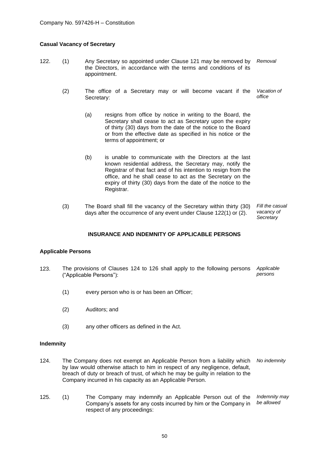# **Casual Vacancy of Secretary**

- 122. (1) Any Secretary so appointed under Clause 121 may be removed by the Directors, in accordance with the terms and conditions of its appointment. *Removal*
	- (2) The office of a Secretary may or will become vacant if the Secretary: *Vacation of office*
		- (a) resigns from office by notice in writing to the Board, the Secretary shall cease to act as Secretary upon the expiry of thirty (30) days from the date of the notice to the Board or from the effective date as specified in his notice or the terms of appointment; or
		- (b) is unable to communicate with the Directors at the last known residential address, the Secretary may, notify the Registrar of that fact and of his intention to resign from the office, and he shall cease to act as the Secretary on the expiry of thirty (30) days from the date of the notice to the Registrar.
	- (3) The Board shall fill the vacancy of the Secretary within thirty (30) days after the occurrence of any event under Clause 122(1) or (2). *Fill the casual vacancy of Secretary*

# **INSURANCE AND INDEMNITY OF APPLICABLE PERSONS**

## **Applicable Persons**

- 123. The provisions of Clauses 124 to 126 shall apply to the following persons ("Applicable Persons"): *Applicable persons*
	- (1) every person who is or has been an Officer;
	- (2) Auditors; and
	- (3) any other officers as defined in the Act.

#### **Indemnity**

- 124. The Company does not exempt an Applicable Person from a liability which *No indemnity* by law would otherwise attach to him in respect of any negligence, default, breach of duty or breach of trust, of which he may be guilty in relation to the Company incurred in his capacity as an Applicable Person.
- 125. (1) The Company may indemnify an Applicable Person out of the Company's assets for any costs incurred by him or the Company in respect of any proceedings: *Indemnity may be allowed*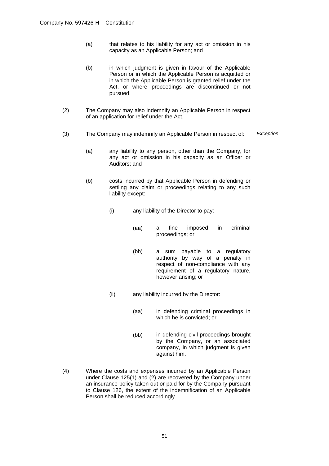- (a) that relates to his liability for any act or omission in his capacity as an Applicable Person; and
- (b) in which judgment is given in favour of the Applicable Person or in which the Applicable Person is acquitted or in which the Applicable Person is granted relief under the Act, or where proceedings are discontinued or not pursued.
- (2) The Company may also indemnify an Applicable Person in respect of an application for relief under the Act.
- (3) The Company may indemnify an Applicable Person in respect of: *Exception*
	- (a) any liability to any person, other than the Company, for any act or omission in his capacity as an Officer or Auditors; and
	- (b) costs incurred by that Applicable Person in defending or settling any claim or proceedings relating to any such liability except:
		- (i) any liability of the Director to pay:
			- (aa) a fine imposed in criminal proceedings; or
			- (bb) a sum payable to a regulatory authority by way of a penalty in respect of non-compliance with any requirement of a regulatory nature, however arising; or
		- (ii) any liability incurred by the Director:
			- (aa) in defending criminal proceedings in which he is convicted; or
			- (bb) in defending civil proceedings brought by the Company, or an associated company, in which judgment is given against him.
- (4) Where the costs and expenses incurred by an Applicable Person under Clause 125(1) and (2) are recovered by the Company under an insurance policy taken out or paid for by the Company pursuant to Clause 126, the extent of the indemnification of an Applicable Person shall be reduced accordingly.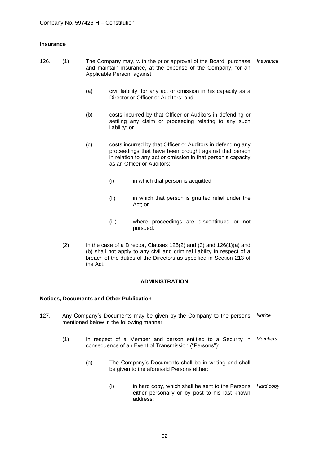# **Insurance**

- 126. (1) The Company may, with the prior approval of the Board, purchase and maintain insurance, at the expense of the Company, for an Applicable Person, against: *Insurance*
	- (a) civil liability, for any act or omission in his capacity as a Director or Officer or Auditors; and
	- (b) costs incurred by that Officer or Auditors in defending or settling any claim or proceeding relating to any such liability; or
	- (c) costs incurred by that Officer or Auditors in defending any proceedings that have been brought against that person in relation to any act or omission in that person's capacity as an Officer or Auditors:
		- (i) in which that person is acquitted;
		- (ii) in which that person is granted relief under the Act; or
		- (iii) where proceedings are discontinued or not pursued.
	- (2) In the case of a Director, Clauses 125(2) and (3) and 126(1)(a) and (b) shall not apply to any civil and criminal liability in respect of a breach of the duties of the Directors as specified in Section 213 of the Act.

## **ADMINISTRATION**

## **Notices, Documents and Other Publication**

- 127. Any Company's Documents may be given by the Company to the persons mentioned below in the following manner: *Notice*
	- (1) In respect of a Member and person entitled to a Security in *Members* consequence of an Event of Transmission ("Persons"):
		- (a) The Company's Documents shall be in writing and shall be given to the aforesaid Persons either:
			- (i) in hard copy, which shall be sent to the Persons *Hard copy*either personally or by post to his last known address;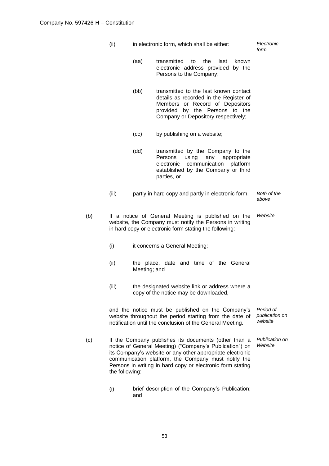(ii) in electronic form, which shall be either: *Electronic* 

*form*

- (aa) transmitted to the last known electronic address provided by the Persons to the Company;
- (bb) transmitted to the last known contact details as recorded in the Register of Members or Record of Depositors provided by the Persons to the Company or Depository respectively;
- (cc) by publishing on a website;
- (dd) transmitted by the Company to the Persons using any appropriate electronic communication platform established by the Company or third parties, or
- (iii) partly in hard copy and partly in electronic form. *Both of the above*
- (b) If a notice of General Meeting is published on the website, the Company must notify the Persons in writing in hard copy or electronic form stating the following: *Website* 
	- (i) it concerns a General Meeting;
	- (ii) the place, date and time of the General Meeting; and
	- (iii) the designated website link or address where a copy of the notice may be downloaded,

and the notice must be published on the Company's website throughout the period starting from the date of notification until the conclusion of the General Meeting. *Period of publication on website*

- (c) If the Company publishes its documents (other than a notice of General Meeting) ("Company's Publication") on its Company's website or any other appropriate electronic communication platform, the Company must notify the Persons in writing in hard copy or electronic form stating the following: *Publication on Website*
	- (i) brief description of the Company's Publication; and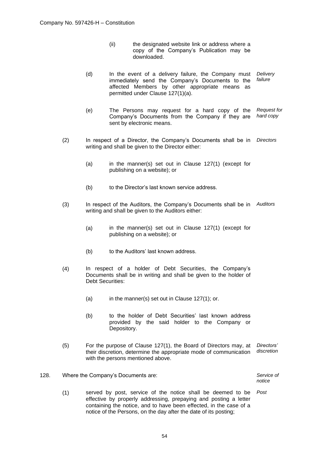- (ii) the designated website link or address where a copy of the Company's Publication may be downloaded.
- (d) In the event of a delivery failure, the Company must immediately send the Company's Documents to the affected Members by other appropriate means as permitted under Clause 127(1)(a). *Delivery failure*
- (e) The Persons may request for a hard copy of the Company's Documents from the Company if they are sent by electronic means. *Request for hard copy*
- (2) In respect of a Director, the Company's Documents shall be in writing and shall be given to the Director either: *Directors*
	- (a) in the manner(s) set out in Clause 127(1) (except for publishing on a website); or
	- (b) to the Director's last known service address.
- (3) In respect of the Auditors, the Company's Documents shall be in *Auditors* writing and shall be given to the Auditors either:
	- (a) in the manner(s) set out in Clause 127(1) (except for publishing on a website); or
	- (b) to the Auditors' last known address.
- (4) In respect of a holder of Debt Securities, the Company's Documents shall be in writing and shall be given to the holder of Debt Securities:
	- (a) in the manner(s) set out in Clause 127(1); or.
	- (b) to the holder of Debt Securities' last known address provided by the said holder to the Company or Depository.
- (5) For the purpose of Clause 127(1), the Board of Directors may, at their discretion, determine the appropriate mode of communication with the persons mentioned above. *Directors' discretion*
- 128. Where the Company's Documents are: *Service of notice*
	- (1) served by post, service of the notice shall be deemed to be effective by properly addressing, prepaying and posting a letter containing the notice, and to have been effected, in the case of a notice of the Persons, on the day after the date of its posting; *Post*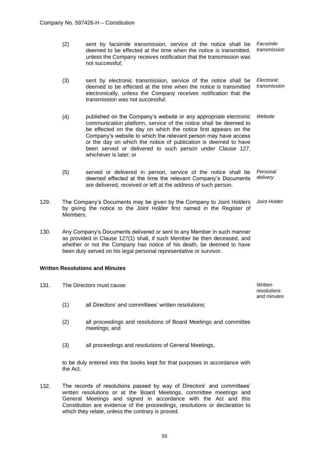- (2) sent by facsimile transmission, service of the notice shall be deemed to be effected at the time when the notice is transmitted, unless the Company receives notification that the transmission was not successful; *Facsimile transmission*
- (3) sent by electronic transmission, service of the notice shall be deemed to be effected at the time when the notice is transmitted electronically, unless the Company receives notification that the transmission was not successful; *Electronic transmission*
- (4) published on the Company's website or any appropriate electronic communication platform, service of the notice shall be deemed to be effected on the day on which the notice first appears on the Company's website to which the relevant person may have access or the day on which the notice of publication is deemed to have been served or delivered to such person under Clause 127, whichever is later; or *Website*
- (5) served or delivered in person, service of the notice shall be deemed effected at the time the relevant Company's Documents are delivered, received or left at the address of such person. *Personal delivery*
- 129. The Company's Documents may be given by the Company to Joint Holders by giving the notice to the Joint Holder first named in the Register of Members. *Joint Holder*
- 130. Any Company's Documents delivered or sent to any Member in such manner as provided in Clause 127(1) shall, if such Member be then deceased, and whether or not the Company has notice of his death, be deemed to have been duly served on his legal personal representative or survivor.

# **Written Resolutions and Minutes**

| 131. | The Directors must cause: |                                                                                  |  |
|------|---------------------------|----------------------------------------------------------------------------------|--|
|      | (1)                       | all Directors' and committees' written resolutions;                              |  |
|      | (2)                       | all proceedings and resolutions of Board Meetings and committee<br>meetings; and |  |
|      | (3)                       | all proceedings and resolutions of General Meetings,                             |  |

to be duly entered into the books kept for that purposes in accordance with the Act.

132. The records of resolutions passed by way of Directors' and committees' written resolutions or at the Board Meetings, committee meetings and General Meetings and signed in accordance with the Act and this Constitution are evidence of the proceedings, resolutions or declaration to which they relate, unless the contrary is proved.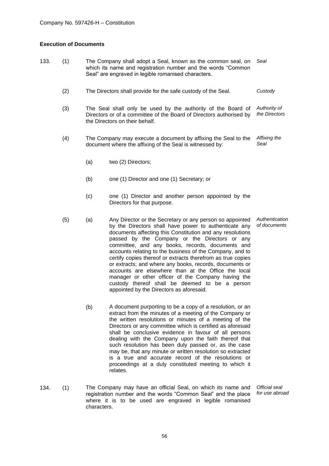# **Execution of Documents**

- 133. (1) The Company shall adopt a Seal, known as the common seal, on which its name and registration number and the words "Common Seal" are engraved in legible romanised characters. *Seal*
	- (2) The Directors shall provide for the safe custody of the Seal. *Custody*
	- (3) The Seal shall only be used by the authority of the Board of Directors or of a committee of the Board of Directors authorised by the Directors on their behalf. *Authority of the Directors*
	- (4) The Company may execute a document by affixing the Seal to the document where the affixing of the Seal is witnessed by: *Affixing the Seal*
		- (a) two (2) Directors;
		- (b) one (1) Director and one (1) Secretary; or
		- (c) one (1) Director and another person appointed by the Directors for that purpose.
	- (5) (a) Any Director or the Secretary or any person so appointed by the Directors shall have power to authenticate any documents affecting this Constitution and any resolutions passed by the Company or the Directors or any committee, and any books, records, documents and accounts relating to the business of the Company, and to certify copies thereof or extracts therefrom as true copies or extracts; and where any books, records, documents or accounts are elsewhere than at the Office the local manager or other officer of the Company having the custody thereof shall be deemed to be a person appointed by the Directors as aforesaid. *Authentication of documents*
		- (b) A document purporting to be a copy of a resolution, or an extract from the minutes of a meeting of the Company or the written resolutions or minutes of a meeting of the Directors or any committee which is certified as aforesaid shall be conclusive evidence in favour of all persons dealing with the Company upon the faith thereof that such resolution has been duly passed or, as the case may be, that any minute or written resolution so extracted is a true and accurate record of the resolutions or proceedings at a duly constituted meeting to which it relates.
- 134. (1) The Company may have an official Seal, on which its name and registration number and the words "Common Seal" and the place where it is to be used are engraved in legible romanised characters.

*Official seal for use abroad*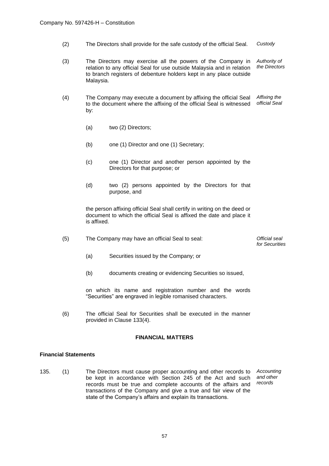- (2) The Directors shall provide for the safe custody of the official Seal. *Custody*
- (3) The Directors may exercise all the powers of the Company in relation to any official Seal for use outside Malaysia and in relation to branch registers of debenture holders kept in any place outside Malaysia. *Authority of the Directors*
- (4) The Company may execute a document by affixing the official Seal to the document where the affixing of the official Seal is witnessed by: *Affixing the official Seal*
	- (a) two (2) Directors;
	- (b) one (1) Director and one (1) Secretary;
	- (c) one (1) Director and another person appointed by the Directors for that purpose; or
	- (d) two (2) persons appointed by the Directors for that purpose, and

the person affixing official Seal shall certify in writing on the deed or document to which the official Seal is affixed the date and place it is affixed.

(5) The Company may have an official Seal to seal: *Official seal* 

*for Securities*

- (a) Securities issued by the Company; or
- (b) documents creating or evidencing Securities so issued,

on which its name and registration number and the words "Securities" are engraved in legible romanised characters.

(6) The official Seal for Securities shall be executed in the manner provided in Clause 133(4).

# **FINANCIAL MATTERS**

# **Financial Statements**

135. (1) The Directors must cause proper accounting and other records to be kept in accordance with Section 245 of the Act and such records must be true and complete accounts of the affairs and transactions of the Company and give a true and fair view of the state of the Company's affairs and explain its transactions. *Accounting and other records*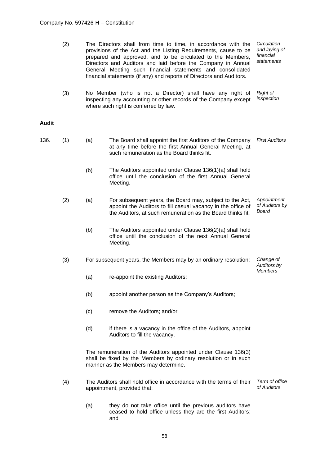|       | (2) | The Directors shall from time to time, in accordance with the<br>provisions of the Act and the Listing Requirements, cause to be<br>prepared and approved, and to be circulated to the Members,<br>Directors and Auditors and laid before the Company in Annual<br>General Meeting such financial statements and consolidated<br>financial statements (if any) and reports of Directors and Auditors. | Circulation<br>and laying of<br>financial<br>statements                                                                                                                                 |                                               |  |  |
|-------|-----|-------------------------------------------------------------------------------------------------------------------------------------------------------------------------------------------------------------------------------------------------------------------------------------------------------------------------------------------------------------------------------------------------------|-----------------------------------------------------------------------------------------------------------------------------------------------------------------------------------------|-----------------------------------------------|--|--|
|       | (3) |                                                                                                                                                                                                                                                                                                                                                                                                       | No Member (who is not a Director) shall have any right of<br>inspecting any accounting or other records of the Company except<br>where such right is conferred by law.                  |                                               |  |  |
| Audit |     |                                                                                                                                                                                                                                                                                                                                                                                                       |                                                                                                                                                                                         |                                               |  |  |
| 136.  | (1) | (a)                                                                                                                                                                                                                                                                                                                                                                                                   | The Board shall appoint the first Auditors of the Company<br>at any time before the first Annual General Meeting, at<br>such remuneration as the Board thinks fit.                      | <b>First Auditors</b>                         |  |  |
|       |     | (b)                                                                                                                                                                                                                                                                                                                                                                                                   | The Auditors appointed under Clause 136(1)(a) shall hold<br>office until the conclusion of the first Annual General<br>Meeting.                                                         |                                               |  |  |
|       | (2) | (a)                                                                                                                                                                                                                                                                                                                                                                                                   | For subsequent years, the Board may, subject to the Act,<br>appoint the Auditors to fill casual vacancy in the office of<br>the Auditors, at such remuneration as the Board thinks fit. | Appointment<br>of Auditors by<br><b>Board</b> |  |  |
|       |     | (b)                                                                                                                                                                                                                                                                                                                                                                                                   | The Auditors appointed under Clause 136(2)(a) shall hold<br>office until the conclusion of the next Annual General<br>Meeting.                                                          |                                               |  |  |
|       | (3) | For subsequent years, the Members may by an ordinary resolution:                                                                                                                                                                                                                                                                                                                                      |                                                                                                                                                                                         | Change of<br>Auditors by                      |  |  |
|       |     | (a)                                                                                                                                                                                                                                                                                                                                                                                                   | re-appoint the existing Auditors;                                                                                                                                                       | <b>Members</b>                                |  |  |
|       |     | (b)                                                                                                                                                                                                                                                                                                                                                                                                   | appoint another person as the Company's Auditors;                                                                                                                                       |                                               |  |  |
|       |     | (c)                                                                                                                                                                                                                                                                                                                                                                                                   | remove the Auditors; and/or                                                                                                                                                             |                                               |  |  |
|       |     | (d)                                                                                                                                                                                                                                                                                                                                                                                                   | if there is a vacancy in the office of the Auditors, appoint<br>Auditors to fill the vacancy.                                                                                           |                                               |  |  |
|       |     |                                                                                                                                                                                                                                                                                                                                                                                                       | The remuneration of the Auditors appointed under Clause 136(3)<br>shall be fixed by the Members by ordinary resolution or in such<br>manner as the Members may determine.               |                                               |  |  |
|       | (4) |                                                                                                                                                                                                                                                                                                                                                                                                       | The Auditors shall hold office in accordance with the terms of their<br>appointment, provided that:                                                                                     | Term of office<br>of Auditors                 |  |  |
|       |     | (a)                                                                                                                                                                                                                                                                                                                                                                                                   | they do not take office until the previous auditors have<br>ceased to hold office unless they are the first Auditors;<br>and                                                            |                                               |  |  |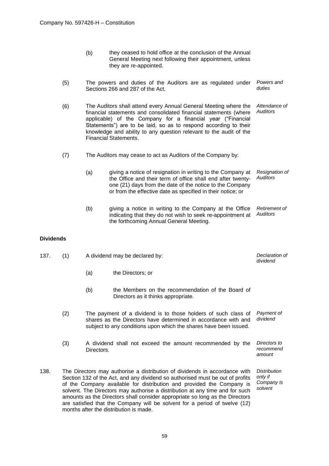- (b) they ceased to hold office at the conclusion of the Annual General Meeting next following their appointment, unless they are re-appointed.
- (5) The powers and duties of the Auditors are as regulated under Sections 266 and 287 of the Act. *Powers and duties*
- (6) The Auditors shall attend every Annual General Meeting where the financial statements and consolidated financial statements (where applicable) of the Company for a financial year ("Financial Statements") are to be laid, so as to respond according to their knowledge and ability to any question relevant to the audit of the Financial Statements. *Attendance of Auditors*
- (7) The Auditors may cease to act as Auditors of the Company by:
	- (a) giving a notice of resignation in writing to the Company at the Office and their term of office shall end after twentyone (21) days from the date of the notice to the Company or from the effective date as specified in their notice; or *Resignation of Auditors*
	- (b) giving a notice in writing to the Company at the Office indicating that they do not wish to seek re-appointment at the forthcoming Annual General Meeting. *Retirement of Auditors*

# **Dividends**

| 137. | (1) | A dividend may be declared by:                                                                                                                                                                                                                                                                                       | Declaration of<br>dividend                                                                                                                                                                            |                                                         |
|------|-----|----------------------------------------------------------------------------------------------------------------------------------------------------------------------------------------------------------------------------------------------------------------------------------------------------------------------|-------------------------------------------------------------------------------------------------------------------------------------------------------------------------------------------------------|---------------------------------------------------------|
|      |     | (a)                                                                                                                                                                                                                                                                                                                  | the Directors; or                                                                                                                                                                                     |                                                         |
|      |     | (b)                                                                                                                                                                                                                                                                                                                  | the Members on the recommendation of the Board of<br>Directors as it thinks appropriate.                                                                                                              |                                                         |
|      | (2) |                                                                                                                                                                                                                                                                                                                      | The payment of a dividend is to those holders of such class of<br>shares as the Directors have determined in accordance with and<br>subject to any conditions upon which the shares have been issued. | Payment of<br>dividend                                  |
|      | (3) | Directors.                                                                                                                                                                                                                                                                                                           | A dividend shall not exceed the amount recommended by the                                                                                                                                             | Directors to<br>recommend<br>amount                     |
| 138. |     | The Directors may authorise a distribution of dividends in accordance with<br>Section 132 of the Act, and any dividend so authorised must be out of profits<br>of the Company available for distribution and provided the Company is<br>solvent. The Directors may authorise a distribution at any time and for such |                                                                                                                                                                                                       | <b>Distribution</b><br>only if<br>Company is<br>solvent |

amounts as the Directors shall consider appropriate so long as the Directors are satisfied that the Company will be solvent for a period of twelve (12)

months after the distribution is made.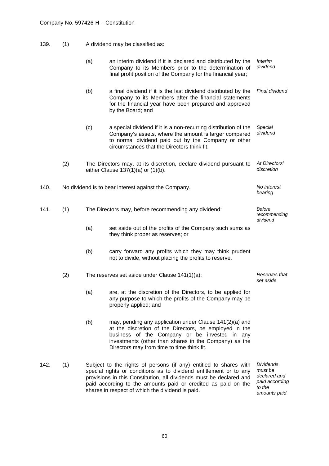| 139.<br>(1) | A dividend may be classified as: |
|-------------|----------------------------------|
|-------------|----------------------------------|

|      |     | (a) | an interim dividend if it is declared and distributed by the<br>Company to its Members prior to the determination of<br>final profit position of the Company for the financial year;                                                                                           | <b>Interim</b><br>dividend                                    |
|------|-----|-----|--------------------------------------------------------------------------------------------------------------------------------------------------------------------------------------------------------------------------------------------------------------------------------|---------------------------------------------------------------|
|      |     | (b) | a final dividend if it is the last dividend distributed by the<br>Company to its Members after the financial statements<br>for the financial year have been prepared and approved<br>by the Board; and                                                                         | Final dividend                                                |
|      |     | (c) | a special dividend if it is a non-recurring distribution of the<br>Company's assets, where the amount is larger compared<br>to normal dividend paid out by the Company or other<br>circumstances that the Directors think fit.                                                 | Special<br>dividend                                           |
|      | (2) |     | The Directors may, at its discretion, declare dividend pursuant to<br>either Clause $137(1)(a)$ or $(1)(b)$ .                                                                                                                                                                  | At Directors'<br>discretion                                   |
| 140. |     |     | No dividend is to bear interest against the Company.                                                                                                                                                                                                                           | No interest<br>bearing                                        |
| 141. | (1) |     | The Directors may, before recommending any dividend:                                                                                                                                                                                                                           | <b>Before</b><br>recommending<br>dividend                     |
|      |     | (a) | set aside out of the profits of the Company such sums as<br>they think proper as reserves; or                                                                                                                                                                                  |                                                               |
|      |     | (b) | carry forward any profits which they may think prudent<br>not to divide, without placing the profits to reserve.                                                                                                                                                               |                                                               |
|      | (2) |     | The reserves set aside under Clause 141(1)(a):                                                                                                                                                                                                                                 | Reserves that<br>set aside                                    |
|      |     | (a) | are, at the discretion of the Directors, to be applied for<br>any purpose to which the profits of the Company may be<br>properly applied; and                                                                                                                                  |                                                               |
|      |     | (b) | may, pending any application under Clause 141(2)(a) and<br>at the discretion of the Directors, be employed in the<br>business of the Company or be invested in any<br>investments (other than shares in the Company) as the<br>Directors may from time to time think fit.      |                                                               |
| 142. | (1) |     | Subject to the rights of persons (if any) entitled to shares with<br>special rights or conditions as to dividend entitlement or to any<br>provisions in this Constitution, all dividends must be declared and<br>paid according to the amounts paid or credited as paid on the | <b>Dividends</b><br>must be<br>declared and<br>paid according |

*to the amounts paid*

shares in respect of which the dividend is paid.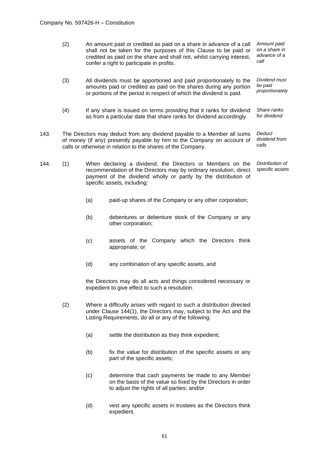- (2) An amount paid or credited as paid on a share in advance of a call shall not be taken for the purposes of this Clause to be paid or credited as paid on the share and shall not, whilst carrying interest, confer a right to participate in profits. *Amount paid on a share in advance of a call*
- (3) All dividends must be apportioned and paid proportionately to the amounts paid or credited as paid on the shares during any portion or portions of the period in respect of which the dividend is paid. *Dividend must be paid proportionately*
- (4) If any share is issued on terms providing that it ranks for dividend as from a particular date that share ranks for dividend accordingly. *Share ranks for dividend*
- 143. The Directors may deduct from any dividend payable to a Member all sums of money (if any) presently payable by him to the Company on account of calls or otherwise in relation to the shares of the Company. *Deduct dividend from calls*
- 144. (1) When declaring a dividend, the Directors or Members on the recommendation of the Directors may by ordinary resolution, direct payment of the dividend wholly or partly by the distribution of specific assets, including: *Distribution of specific assets*
	- (a) paid-up shares of the Company or any other corporation;
	- (b) debentures or debenture stock of the Company or any other corporation;
	- (c) assets of the Company which the Directors think appropriate; or
	- (d) any combination of any specific assets, and

the Directors may do all acts and things considered necessary or expedient to give effect to such a resolution.

- (2) Where a difficulty arises with regard to such a distribution directed under Clause 144(1), the Directors may, subject to the Act and the Listing Requirements, do all or any of the following:
	- (a) settle the distribution as they think expedient;
	- (b) fix the value for distribution of the specific assets or any part of the specific assets;
	- (c) determine that cash payments be made to any Member on the basis of the value so fixed by the Directors in order to adjust the rights of all parties; and/or
	- (d) vest any specific assets in trustees as the Directors think expedient.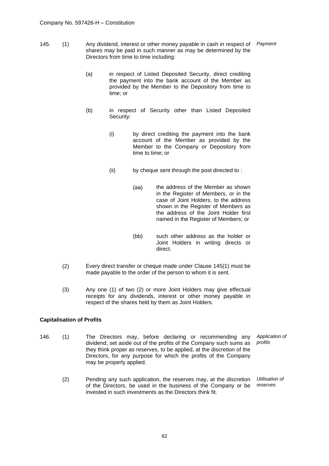- 145. (1) Any dividend, interest or other money payable in cash in respect of shares may be paid in such manner as may be determined by the Directors from time to time including: *Payment*
	- (a) in respect of Listed Deposited Security, direct crediting the payment into the bank account of the Member as provided by the Member to the Depository from time to time; or
	- (b) in respect of Security other than Listed Deposited Security:
		- (i) by direct crediting the payment into the bank account of the Member as provided by the Member to the Company or Depository from time to time; or
		- (ii) by cheque sent through the post directed to :
			- (aa) the address of the Member as shown in the Register of Members, or in the case of Joint Holders, to the address shown in the Register of Members as the address of the Joint Holder first named in the Register of Members; or
			- (bb) such other address as the holder or Joint Holders in writing directs or direct.
	- (2) Every direct transfer or cheque made under Clause 145(1) must be made payable to the order of the person to whom it is sent.
	- (3) Any one (1) of two (2) or more Joint Holders may give effectual receipts for any dividends, interest or other money payable in respect of the shares held by them as Joint Holders.

# **Capitalisation of Profits**

- 146. (1) The Directors may, before declaring or recommending any dividend, set aside out of the profits of the Company such sums as they think proper as reserves, to be applied, at the discretion of the Directors, for any purpose for which the profits of the Company may be properly applied. *Application of profits*
	- (2) Pending any such application, the reserves may, at the discretion of the Directors, be used in the business of the Company or be invested in such investments as the Directors think fit. *Utilisation of reserves*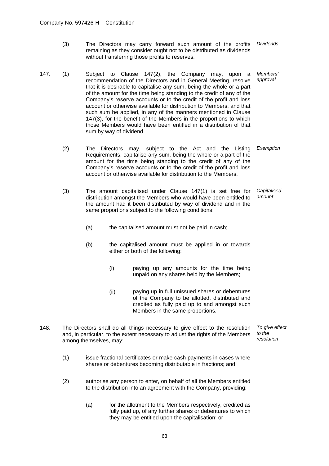- (3) The Directors may carry forward such amount of the profits remaining as they consider ought not to be distributed as dividends without transferring those profits to reserves. *Dividends*
- 147. (1) Subject to Clause 147(2), the Company may, upon a recommendation of the Directors and in General Meeting, resolve that it is desirable to capitalise any sum, being the whole or a part of the amount for the time being standing to the credit of any of the Company's reserve accounts or to the credit of the profit and loss account or otherwise available for distribution to Members, and that such sum be applied, in any of the manners mentioned in Clause 147(3), for the benefit of the Members in the proportions to which those Members would have been entitled in a distribution of that sum by way of dividend. *Members' approval*
	- (2) The Directors may, subject to the Act and the Listing Requirements, capitalise any sum, being the whole or a part of the amount for the time being standing to the credit of any of the Company's reserve accounts or to the credit of the profit and loss account or otherwise available for distribution to the Members. *Exemption*
	- (3) The amount capitalised under Clause 147(1) is set free for distribution amongst the Members who would have been entitled to the amount had it been distributed by way of dividend and in the same proportions subject to the following conditions: *Capitalised amount*
		- (a) the capitalised amount must not be paid in cash;
		- (b) the capitalised amount must be applied in or towards either or both of the following:
			- (i) paying up any amounts for the time being unpaid on any shares held by the Members;
			- (ii) paying up in full unissued shares or debentures of the Company to be allotted, distributed and credited as fully paid up to and amongst such Members in the same proportions.
- 148. The Directors shall do all things necessary to give effect to the resolution and, in particular, to the extent necessary to adjust the rights of the Members among themselves, may: *To give effect to the resolution*
	- (1) issue fractional certificates or make cash payments in cases where shares or debentures becoming distributable in fractions; and
	- (2) authorise any person to enter, on behalf of all the Members entitled to the distribution into an agreement with the Company, providing:
		- (a) for the allotment to the Members respectively, credited as fully paid up, of any further shares or debentures to which they may be entitled upon the capitalisation; or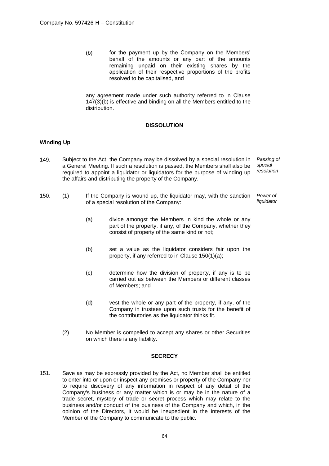(b) for the payment up by the Company on the Members' behalf of the amounts or any part of the amounts remaining unpaid on their existing shares by the application of their respective proportions of the profits resolved to be capitalised, and

any agreement made under such authority referred to in Clause 147(3)(b) is effective and binding on all the Members entitled to the distribution.

# **DISSOLUTION**

## **Winding Up**

- 149. Subject to the Act, the Company may be dissolved by a special resolution in a General Meeting. If such a resolution is passed, the Members shall also be required to appoint a liquidator or liquidators for the purpose of winding up the affairs and distributing the property of the Company. *Passing of special resolution*
- 150. (1) If the Company is wound up, the liquidator may, with the sanction of a special resolution of the Company: *Power of liquidator*
	- (a) divide amongst the Members in kind the whole or any part of the property, if any, of the Company, whether they consist of property of the same kind or not;
	- (b) set a value as the liquidator considers fair upon the property, if any referred to in Clause 150(1)(a);
	- (c) determine how the division of property, if any is to be carried out as between the Members or different classes of Members; and
	- (d) vest the whole or any part of the property, if any, of the Company in trustees upon such trusts for the benefit of the contributories as the liquidator thinks fit.
	- (2) No Member is compelled to accept any shares or other Securities on which there is any liability.

## **SECRECY**

151. Save as may be expressly provided by the Act, no Member shall be entitled to enter into or upon or inspect any premises or property of the Company nor to require discovery of any information in respect of any detail of the Company's business or any matter which is or may be in the nature of a trade secret, mystery of trade or secret process which may relate to the business and/or conduct of the business of the Company and which, in the opinion of the Directors, it would be inexpedient in the interests of the Member of the Company to communicate to the public.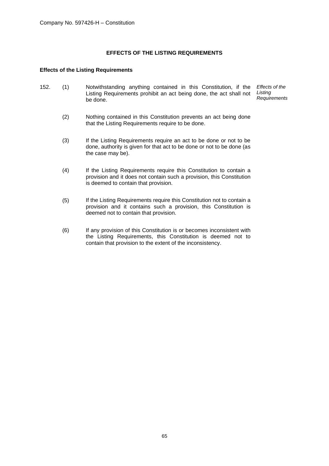# **EFFECTS OF THE LISTING REQUIREMENTS**

# **Effects of the Listing Requirements**

- 152. (1) Notwithstanding anything contained in this Constitution, if the Listing Requirements prohibit an act being done, the act shall not be done. *Effects of the Listing Requirements*
	- (2) Nothing contained in this Constitution prevents an act being done that the Listing Requirements require to be done.
	- (3) If the Listing Requirements require an act to be done or not to be done, authority is given for that act to be done or not to be done (as the case may be).
	- (4) If the Listing Requirements require this Constitution to contain a provision and it does not contain such a provision, this Constitution is deemed to contain that provision.
	- (5) If the Listing Requirements require this Constitution not to contain a provision and it contains such a provision, this Constitution is deemed not to contain that provision.
	- (6) If any provision of this Constitution is or becomes inconsistent with the Listing Requirements, this Constitution is deemed not to contain that provision to the extent of the inconsistency.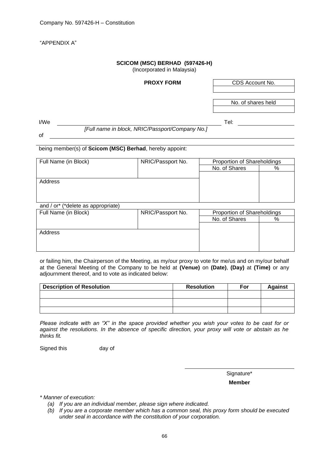"APPENDIX A"

# **SCICOM (MSC) BERHAD (597426-H)**

(Incorporated in Malaysia)

# **PROXY FORM** CDS Account No. No. of shares held I/We the contract of the contract of the contract of the contract of the contract of the contract of the contract of the contract of the contract of the contract of the contract of the contract of the contract of the contr *[Full name in block, NRIC/Passport/Company No.]* of being member(s) of **Scicom (MSC) Berhad**, hereby appoint: Full Name (in Block) NRIC/Passport No. Proportion of Shareholdings No. of Shares | % Address and / or\* (\*delete as appropriate) Full Name (in Block) NRIC/Passport No. Proportion of Shareholdings No. of Shares | % Address

or failing him, the Chairperson of the Meeting, as my/our proxy to vote for me/us and on my/our behalf at the General Meeting of the Company to be held at **(Venue)** on **(Date)**, **(Day)** at **(Time)** or any adjournment thereof, and to vote as indicated below:

| <b>Description of Resolution</b> | <b>Resolution</b> | For | <b>Against</b> |
|----------------------------------|-------------------|-----|----------------|
|                                  |                   |     |                |
|                                  |                   |     |                |
|                                  |                   |     |                |

*Please indicate with an "X" in the space provided whether you wish your votes to be cast for or against the resolutions. In the absence of specific direction, your proxy will vote or abstain as he thinks fit.* 

Signed this day of

Signature\* **Member**

*\* Manner of execution:*

- *(a) If you are an individual member, please sign where indicated.*
- *(b) If you are a corporate member which has a common seal, this proxy form should be executed under seal in accordance with the constitution of your corporation.*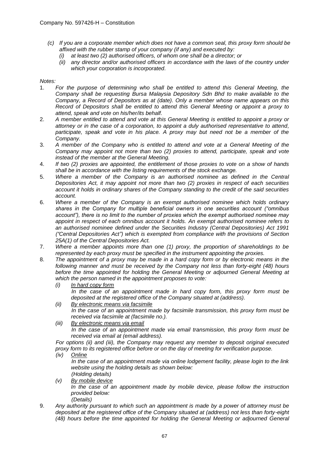- *(c) If you are a corporate member which does not have a common seal, this proxy form should be affixed with the rubber stamp of your company (if any) and executed by:*
	- *(i) at least two (2) authorised officers, of whom one shall be a director; or*
	- *(ii) any director and/or authorised officers in accordance with the laws of the country under which your corporation is incorporated.*

# *Notes:*

- 1. *For the purpose of determining who shall be entitled to attend this General Meeting, the Company shall be requesting Bursa Malaysia Depository Sdn Bhd to make available to the Company, a Record of Depositors as at (date). Only a member whose name appears on this Record of Depositors shall be entitled to attend this General Meeting or appoint a proxy to attend, speak and vote on his/her/its behalf.*
- 2. *A member entitled to attend and vote at this General Meeting is entitled to appoint a proxy or attorney or in the case of a corporation, to appoint a duly authorised representative to attend, participate, speak and vote in his place. A proxy may but need not be a member of the Company.*
- 3. *A member of the Company who is entitled to attend and vote at a General Meeting of the Company may appoint not more than two (2) proxies to attend, participate, speak and vote instead of the member at the General Meeting.*
- 4. *If two (2) proxies are appointed, the entitlement of those proxies to vote on a show of hands shall be in accordance with the listing requirements of the stock exchange.*
- 5. *Where a member of the Company is an authorised nominee as defined in the Central Depositories Act, it may appoint not more than two (2) proxies in respect of each securities account it holds in ordinary shares of the Company standing to the credit of the said securities account.*
- 6. *Where a member of the Company is an exempt authorised nominee which holds ordinary shares in the Company for multiple beneficial owners in one securities account ("omnibus account"), there is no limit to the number of proxies which the exempt authorised nominee may appoint in respect of each omnibus account it holds. An exempt authorised nominee refers to an authorised nominee defined under the Securities Industry (Central Depositories) Act 1991 ("Central Depositories Act") which is exempted from compliance with the provisions of Section 25A(1) of the Central Depositories Act.*
- 7. *Where a member appoints more than one (1) proxy, the proportion of shareholdings to be represented by each proxy must be specified in the instrument appointing the proxies.*
- 8. *The appointment of a proxy may be made in a hard copy form or by electronic means in the following manner and must be received by the Company not less than forty-eight (48) hours before the time appointed for holding the General Meeting or adjourned General Meeting at which the person named in the appointment proposes to vote:*
	- *(i) In hard copy form In the case of an appointment made in hard copy form, this proxy form must be deposited at the registered office of the Company situated at (address).*
	- *(ii) By electronic means via facsimile In the case of an appointment made by facsimile transmission, this proxy form must be received via facsimile at (facsimile no.).*
	- *(iii) By electronic means via email In the case of an appointment made via email transmission, this proxy form must be received via email at (email address).*

*For options (ii) and (iii), the Company may request any member to deposit original executed proxy form to its registered office before or on the day of meeting for verification purpose.*

*(iv) Online*

*In the case of an appointment made via online lodgement facility, please login to the link website using the holding details as shown below: (Holding details)*

- *(v) By mobile device In the case of an appointment made by mobile device, please follow the instruction provided below: (Details)*
- 9. *Any authority pursuant to which such an appointment is made by a power of attorney must be deposited at the registered office of the Company situated at (address) not less than forty-eight (48) hours before the time appointed for holding the General Meeting or adjourned General*